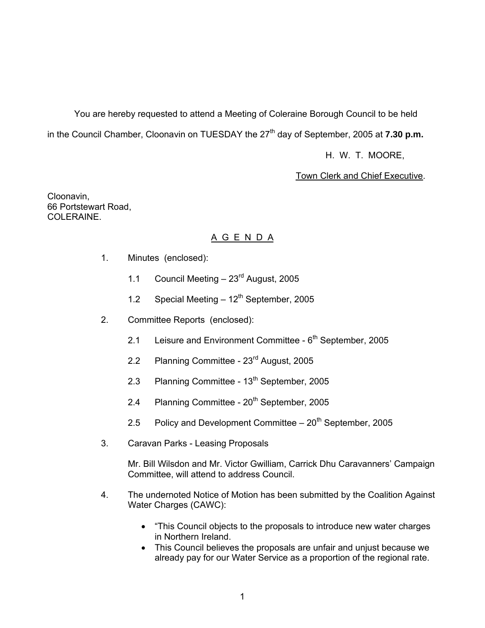You are hereby requested to attend a Meeting of Coleraine Borough Council to be held in the Council Chamber, Cloonavin on TUESDAY the 27<sup>th</sup> day of September, 2005 at **7.30 p.m.** 

H. W. T. MOORE,

#### Town Clerk and Chief Executive.

Cloonavin, 66 Portstewart Road, COLERAINE.

# A G E N D A

- 1. Minutes (enclosed):
	- 1.1 Council Meeting 23<sup>rd</sup> August, 2005
	- 1.2 Special Meeting  $-12^{th}$  September, 2005
- 2. Committee Reports (enclosed):
	- 2.1 Leisure and Environment Committee  $6<sup>th</sup>$  September, 2005
	- 2.2 Planning Committee 23<sup>rd</sup> August, 2005
	- 2.3 Planning Committee 13<sup>th</sup> September, 2005
	- 2.4 Planning Committee 20<sup>th</sup> September, 2005
	- 2.5 Policy and Development Committee  $-20<sup>th</sup>$  September, 2005
- 3. Caravan Parks Leasing Proposals

 Mr. Bill Wilsdon and Mr. Victor Gwilliam, Carrick Dhu Caravanners' Campaign Committee, will attend to address Council.

- 4. The undernoted Notice of Motion has been submitted by the Coalition Against Water Charges (CAWC):
	- "This Council objects to the proposals to introduce new water charges in Northern Ireland.
	- This Council believes the proposals are unfair and unjust because we already pay for our Water Service as a proportion of the regional rate.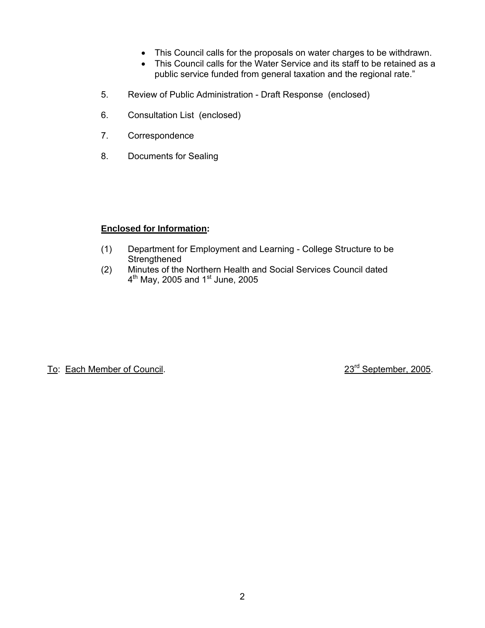- This Council calls for the proposals on water charges to be withdrawn.
- This Council calls for the Water Service and its staff to be retained as a public service funded from general taxation and the regional rate."
- 5. Review of Public Administration Draft Response (enclosed)
- 6. Consultation List (enclosed)
- 7. Correspondence
- 8. Documents for Sealing

# **Enclosed for Information:**

- (1) Department for Employment and Learning College Structure to be **Strengthened**
- (2) Minutes of the Northern Health and Social Services Council dated  $\frac{4^{\text{th}}}{4^{\text{th}}}$  May, 2005 and 1<sup>st</sup> June, 2005

To: Each Member of Council. 23<sup>rd</sup> September, 2005.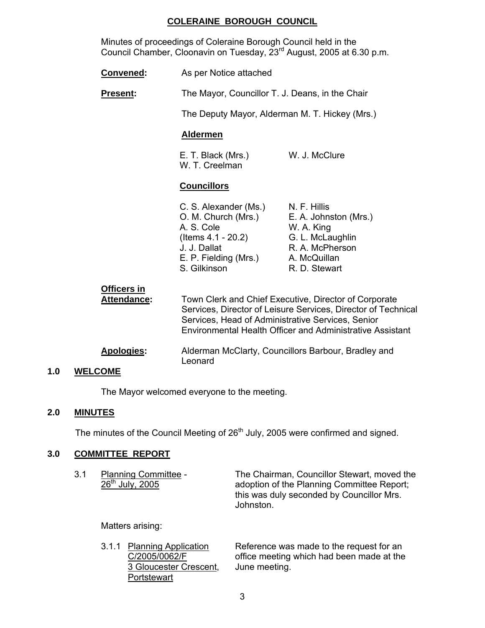# **COLERAINE BOROUGH COUNCIL**

 Minutes of proceedings of Coleraine Borough Council held in the Council Chamber, Cloonavin on Tuesday, 23rd August, 2005 at 6.30 p.m.

| Convened:                         | As per Notice attached                                                                                                                    |                                                                                                                                                                                     |
|-----------------------------------|-------------------------------------------------------------------------------------------------------------------------------------------|-------------------------------------------------------------------------------------------------------------------------------------------------------------------------------------|
| <b>Present:</b>                   | The Mayor, Councillor T. J. Deans, in the Chair                                                                                           |                                                                                                                                                                                     |
|                                   | The Deputy Mayor, Alderman M. T. Hickey (Mrs.)                                                                                            |                                                                                                                                                                                     |
|                                   | <b>Aldermen</b>                                                                                                                           |                                                                                                                                                                                     |
|                                   | E. T. Black (Mrs.)<br>W. T. Creelman                                                                                                      | W. J. McClure                                                                                                                                                                       |
|                                   | <b>Councillors</b>                                                                                                                        |                                                                                                                                                                                     |
|                                   | C. S. Alexander (Ms.)<br>O. M. Church (Mrs.)<br>A. S. Cole<br>(Items 4.1 - 20.2)<br>J. J. Dallat<br>E. P. Fielding (Mrs.)<br>S. Gilkinson | N. F. Hillis<br>E. A. Johnston (Mrs.)<br>W. A. King<br>G. L. McLaughlin<br>R. A. McPherson<br>A. McQuillan<br>R. D. Stewart                                                         |
| Officers in<br><b>Attendance:</b> | Services, Head of Administrative Services, Senior                                                                                         | Town Clerk and Chief Executive, Director of Corporate<br>Services, Director of Leisure Services, Director of Technical<br>Environmental Health Officer and Administrative Assistant |
| <b>Apologies:</b>                 | Alderman McClarty, Councillors Barbour, Bradley and<br>Leonard                                                                            |                                                                                                                                                                                     |

### **1.0 WELCOME**

The Mayor welcomed everyone to the meeting.

# **2.0 MINUTES**

The minutes of the Council Meeting of 26<sup>th</sup> July, 2005 were confirmed and signed.

# **3.0 COMMITTEE REPORT**

| 3.1 | <b>Planning Committee -</b><br>26 <sup>th</sup> July, 2005 | The Chairman, Councillor Stewart, moved the<br>adoption of the Planning Committee Report; |
|-----|------------------------------------------------------------|-------------------------------------------------------------------------------------------|
|     |                                                            | this was duly seconded by Councillor Mrs.                                                 |
|     |                                                            | Johnston.                                                                                 |

Matters arising:

3 Gloucester Crescent, **Portstewart** 

3.1.1 Planning Application Reference was made to the request for an  $C/2005/0062/F$  office meeting which had been made at the 3 Gloucester Crescent, June meeting.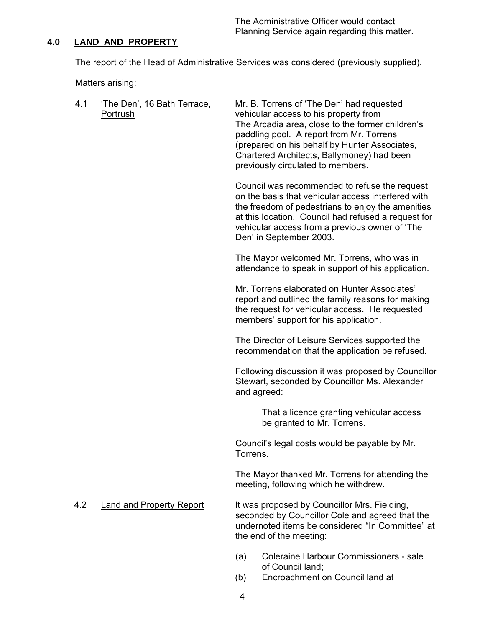The Administrative Officer would contact Planning Service again regarding this matter.

#### **4.0 LAND AND PROPERTY**

The report of the Head of Administrative Services was considered (previously supplied).

Matters arising:

4.1 'The Den', 16 Bath Terrace, Mr. B. Torrens of 'The Den' had requested Portrush vehicular access to his property from The Arcadia area, close to the former children's paddling pool. A report from Mr. Torrens (prepared on his behalf by Hunter Associates, Chartered Architects, Ballymoney) had been previously circulated to members. Council was recommended to refuse the request

on the basis that vehicular access interfered with the freedom of pedestrians to enjoy the amenities at this location. Council had refused a request for vehicular access from a previous owner of 'The Den' in September 2003.

The Mayor welcomed Mr. Torrens, who was in attendance to speak in support of his application.

Mr. Torrens elaborated on Hunter Associates' report and outlined the family reasons for making the request for vehicular access. He requested members' support for his application.

The Director of Leisure Services supported the recommendation that the application be refused.

Following discussion it was proposed by Councillor Stewart, seconded by Councillor Ms. Alexander and agreed:

> That a licence granting vehicular access be granted to Mr. Torrens.

Council's legal costs would be payable by Mr. Torrens.

The Mayor thanked Mr. Torrens for attending the meeting, following which he withdrew.

4.2 Land and Property Report It was proposed by Councillor Mrs. Fielding, seconded by Councillor Cole and agreed that the undernoted items be considered "In Committee" at the end of the meeting:

- (a) Coleraine Harbour Commissioners sale of Council land;
- (b) Encroachment on Council land at
- 4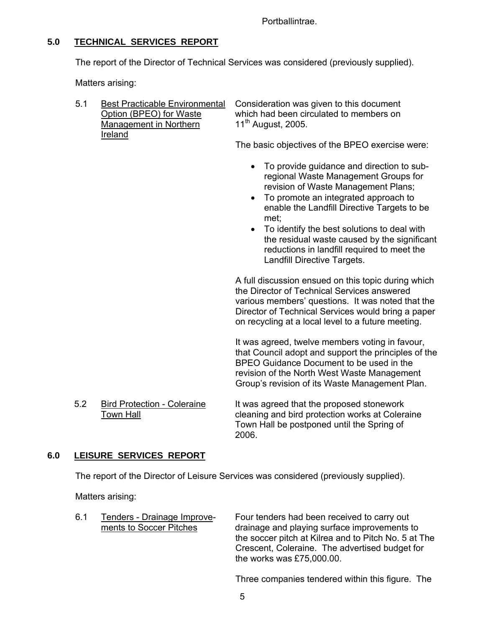Portballintrae.

# **5.0 TECHNICAL SERVICES REPORT**

The report of the Director of Technical Services was considered (previously supplied).

Matters arising:

| 5.1 | <b>Best Practicable Environmental</b><br>Option (BPEO) for Waste<br>Management in Northern<br>Ireland | Consideration was given to this document<br>which had been circulated to members on<br>$11^{\text{th}}$ August, 2005.      |  |
|-----|-------------------------------------------------------------------------------------------------------|----------------------------------------------------------------------------------------------------------------------------|--|
|     |                                                                                                       | The basic objectives of the BPEO exercise were:                                                                            |  |
|     |                                                                                                       | • To provide guidance and direction to sub-<br>regional Waste Management Groups for<br>revision of Waste Management Plans; |  |

- To promote an integrated approach to enable the Landfill Directive Targets to be met;
- To identify the best solutions to deal with the residual waste caused by the significant reductions in landfill required to meet the Landfill Directive Targets.

A full discussion ensued on this topic during which the Director of Technical Services answered various members' questions. It was noted that the Director of Technical Services would bring a paper on recycling at a local level to a future meeting.

It was agreed, twelve members voting in favour, that Council adopt and support the principles of the BPEO Guidance Document to be used in the revision of the North West Waste Management Group's revision of its Waste Management Plan.

5.2 Bird Protection - Coleraine It was agreed that the proposed stonework Town Hall **The Cleaning and bird protection works at Coleraine** Town Hall be postponed until the Spring of 2006.

# **6.0 LEISURE SERVICES REPORT**

The report of the Director of Leisure Services was considered (previously supplied).

Matters arising:

| 6.1 | Tenders - Drainage Improve- |
|-----|-----------------------------|
|     | ments to Soccer Pitches     |

Four tenders had been received to carry out drainage and playing surface improvements to the soccer pitch at Kilrea and to Pitch No. 5 at The Crescent, Coleraine. The advertised budget for the works was £75,000.00.

Three companies tendered within this figure. The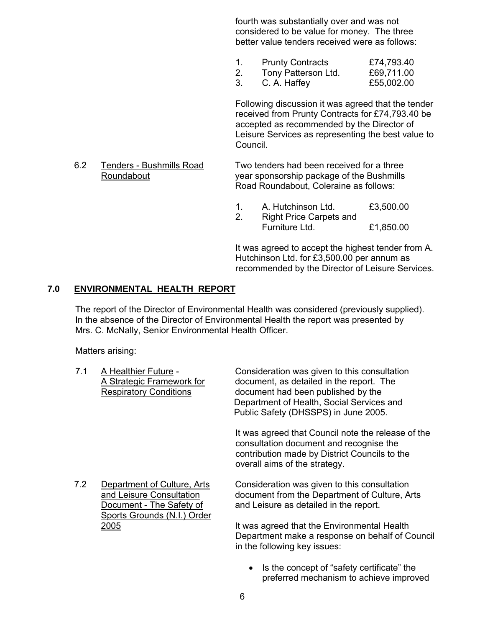fourth was substantially over and was not considered to be value for money. The three better value tenders received were as follows:

- 1. Prunty Contracts £74,793.40
- 2. Tony Patterson Ltd. £69,711.00
- 3. C. A. Haffey £55,002.00

Following discussion it was agreed that the tender received from Prunty Contracts for £74,793.40 be accepted as recommended by the Director of Leisure Services as representing the best value to Council.

#### 6.2 Tenders - Bushmills Road Two tenders had been received for a three Roundabout year sponsorship package of the Bushmills Road Roundabout, Coleraine as follows:

1. A. Hutchinson Ltd. £3,500.00

2. Right Price Carpets and Furniture Ltd. £1,850.00

It was agreed to accept the highest tender from A. Hutchinson Ltd. for £3,500.00 per annum as recommended by the Director of Leisure Services.

# **7.0 ENVIRONMENTAL HEALTH REPORT**

The report of the Director of Environmental Health was considered (previously supplied). In the absence of the Director of Environmental Health the report was presented by Mrs. C. McNally, Senior Environmental Health Officer.

Matters arising:

| 7.1 | A Healthier Future -<br>A Strategic Framework for<br><b>Respiratory Conditions</b>                                 | Consideration was given to this consultation<br>document, as detailed in the report. The<br>document had been published by the<br>Department of Health, Social Services and<br>Public Safety (DHSSPS) in June 2005. |
|-----|--------------------------------------------------------------------------------------------------------------------|---------------------------------------------------------------------------------------------------------------------------------------------------------------------------------------------------------------------|
|     |                                                                                                                    | It was agreed that Council note the release of the<br>consultation document and recognise the<br>contribution made by District Councils to the<br>overall aims of the strategy.                                     |
| 7.2 | Department of Culture, Arts<br>and Leisure Consultation<br>Document - The Safety of<br>Sports Grounds (N.I.) Order | Consideration was given to this consultation<br>document from the Department of Culture, Arts<br>and Leisure as detailed in the report.                                                                             |
|     | 2005                                                                                                               | It was agreed that the Environmental Health<br>Department make a response on behalf of Council<br>in the following key issues:                                                                                      |

• Is the concept of "safety certificate" the preferred mechanism to achieve improved

6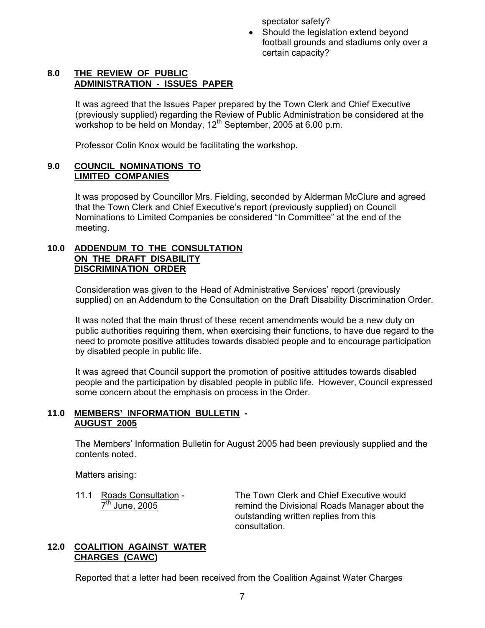spectator safety?

• Should the legislation extend beyond football grounds and stadiums only over a certain capacity?

#### **8.0 THE REVIEW OF PUBLIC ADMINISTRATION - ISSUES PAPER**

It was agreed that the Issues Paper prepared by the Town Clerk and Chief Executive (previously supplied) regarding the Review of Public Administration be considered at the workshop to be held on Monday,  $12^{th}$  September, 2005 at 6.00 p.m.

Professor Colin Knox would be facilitating the workshop.

### **9.0 COUNCIL NOMINATIONS TO LIMITED COMPANIES**

It was proposed by Councillor Mrs. Fielding, seconded by Alderman McClure and agreed that the Town Clerk and Chief Executive's report (previously supplied) on Council Nominations to Limited Companies be considered "In Committee" at the end of the meeting.

#### **10.0 ADDENDUM TO THE CONSULTATION ON THE DRAFT DISABILITY DISCRIMINATION ORDER**

Consideration was given to the Head of Administrative Services' report (previously supplied) on an Addendum to the Consultation on the Draft Disability Discrimination Order.

It was noted that the main thrust of these recent amendments would be a new duty on public authorities requiring them, when exercising their functions, to have due regard to the need to promote positive attitudes towards disabled people and to encourage participation by disabled people in public life.

It was agreed that Council support the promotion of positive attitudes towards disabled people and the participation by disabled people in public life. However, Council expressed some concern about the emphasis on process in the Order.

#### **11.0 MEMBERS' INFORMATION BULLETIN - AUGUST 2005**

The Members' Information Bulletin for August 2005 had been previously supplied and the contents noted.

Matters arising:

11.1 Roads Consultation - The Town Clerk and Chief Executive would  $7<sup>th</sup>$  June, 2005 remind the Divisional Roads Manager about the outstanding written replies from this consultation.

#### **12.0 COALITION AGAINST WATER CHARGES (CAWC)**

Reported that a letter had been received from the Coalition Against Water Charges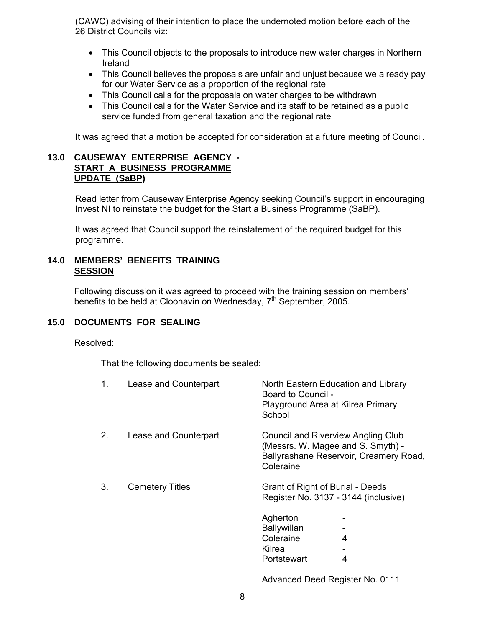(CAWC) advising of their intention to place the undernoted motion before each of the 26 District Councils viz:

- This Council objects to the proposals to introduce new water charges in Northern Ireland
- This Council believes the proposals are unfair and unjust because we already pay for our Water Service as a proportion of the regional rate
- This Council calls for the proposals on water charges to be withdrawn
- This Council calls for the Water Service and its staff to be retained as a public service funded from general taxation and the regional rate

It was agreed that a motion be accepted for consideration at a future meeting of Council.

#### **13.0 CAUSEWAY ENTERPRISE AGENCY - START A BUSINESS PROGRAMME UPDATE (SaBP)**

Read letter from Causeway Enterprise Agency seeking Council's support in encouraging Invest NI to reinstate the budget for the Start a Business Programme (SaBP).

It was agreed that Council support the reinstatement of the required budget for this programme.

#### **14.0 MEMBERS' BENEFITS TRAINING SESSION**

 Following discussion it was agreed to proceed with the training session on members' benefits to be held at Cloonavin on Wednesday, 7<sup>th</sup> September, 2005.

# **15.0 DOCUMENTS FOR SEALING**

Resolved:

That the following documents be sealed:

| 1. | Lease and Counterpart  | North Eastern Education and Library<br>Board to Council -<br>Playground Area at Kilrea Primary<br>School                       |
|----|------------------------|--------------------------------------------------------------------------------------------------------------------------------|
| 2. | Lease and Counterpart  | Council and Riverview Angling Club<br>(Messrs. W. Magee and S. Smyth) -<br>Ballyrashane Reservoir, Creamery Road.<br>Coleraine |
| 3. | <b>Cemetery Titles</b> | <b>Grant of Right of Burial - Deeds</b><br>Register No. 3137 - 3144 (inclusive)                                                |
|    |                        | Agherton<br><b>Ballywillan</b><br>Coleraine<br>4<br>Kilrea<br>4<br>Portstewart                                                 |
|    |                        |                                                                                                                                |

Advanced Deed Register No. 0111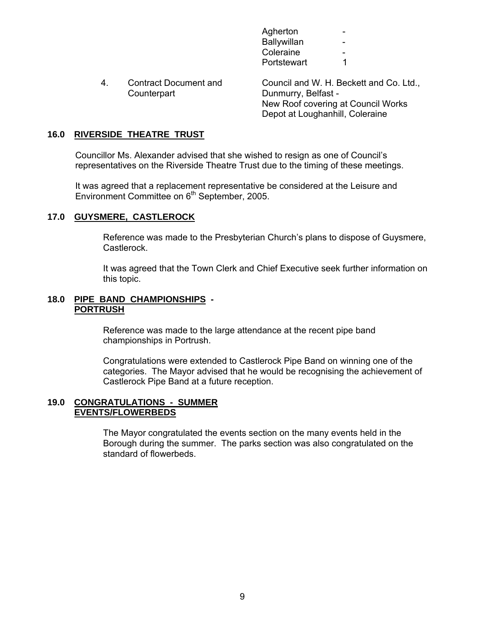| Agherton    | $\overline{\phantom{0}}$ |
|-------------|--------------------------|
| Ballywillan | $\overline{\phantom{0}}$ |
| Coleraine   | $\overline{\phantom{0}}$ |
| Portstewart |                          |

4. Contract Document and Council and W. H. Beckett and Co. Ltd., Counterpart Dunmurry, Belfast - New Roof covering at Council Works Depot at Loughanhill, Coleraine

#### **16.0 RIVERSIDE THEATRE TRUST**

Councillor Ms. Alexander advised that she wished to resign as one of Council's representatives on the Riverside Theatre Trust due to the timing of these meetings.

It was agreed that a replacement representative be considered at the Leisure and Environment Committee on 6<sup>th</sup> September, 2005.

#### **17.0 GUYSMERE, CASTLEROCK**

Reference was made to the Presbyterian Church's plans to dispose of Guysmere, Castlerock.

It was agreed that the Town Clerk and Chief Executive seek further information on this topic.

#### **18.0 PIPE BAND CHAMPIONSHIPS - PORTRUSH**

Reference was made to the large attendance at the recent pipe band championships in Portrush.

Congratulations were extended to Castlerock Pipe Band on winning one of the categories. The Mayor advised that he would be recognising the achievement of Castlerock Pipe Band at a future reception.

#### **19.0 CONGRATULATIONS - SUMMER EVENTS/FLOWERBEDS**

The Mayor congratulated the events section on the many events held in the Borough during the summer. The parks section was also congratulated on the standard of flowerbeds.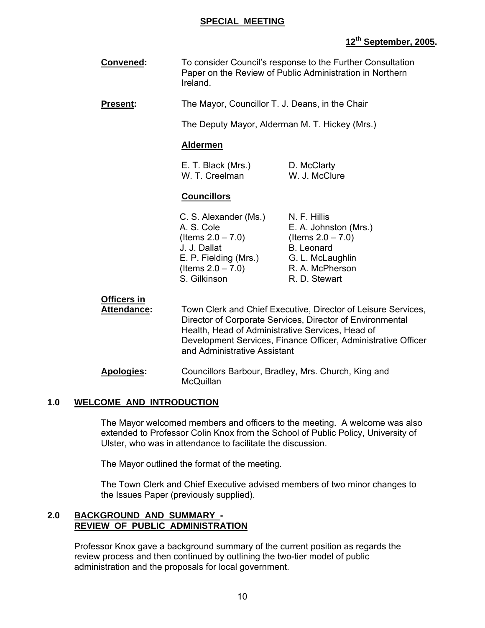#### **SPECIAL MEETING**

# **12th September, 2005.**

 **Convened:** To consider Council's response to the Further Consultation Paper on the Review of Public Administration in Northern Ireland.

**Present:** The Mayor, Councillor T. J. Deans, in the Chair

The Deputy Mayor, Alderman M. T. Hickey (Mrs.)

#### **Aldermen**

| E. T. Black (Mrs.) | D. McClarty   |
|--------------------|---------------|
| W. T. Creelman     | W. J. McClure |

#### **Councillors**

C. S. Alexander (Ms.) N. F. Hillis A. S. Cole E. A. Johnston (Mrs.)  $($ ltems  $2.0 - 7.0)$  (Items  $2.0 - 7.0)$ J. J. Dallat B. Leonard E. P. Fielding (Mrs.) G. L. McLaughlin  $($ ltems  $2.0 - 7.0$ ) R. A. McPherson S. Gilkinson **R. D. Stewart** 

**Officers in**

 **Attendance:** Town Clerk and Chief Executive, Director of Leisure Services, Director of Corporate Services, Director of Environmental Health, Head of Administrative Services, Head of Development Services, Finance Officer, Administrative Officer and Administrative Assistant

 **Apologies:** Councillors Barbour, Bradley, Mrs. Church, King and **McQuillan** 

#### **1.0 WELCOME AND INTRODUCTION**

The Mayor welcomed members and officers to the meeting. A welcome was also extended to Professor Colin Knox from the School of Public Policy, University of Ulster, who was in attendance to facilitate the discussion.

The Mayor outlined the format of the meeting.

The Town Clerk and Chief Executive advised members of two minor changes to the Issues Paper (previously supplied).

#### **2.0 BACKGROUND AND SUMMARY - REVIEW OF PUBLIC ADMINISTRATION**

 Professor Knox gave a background summary of the current position as regards the review process and then continued by outlining the two-tier model of public administration and the proposals for local government.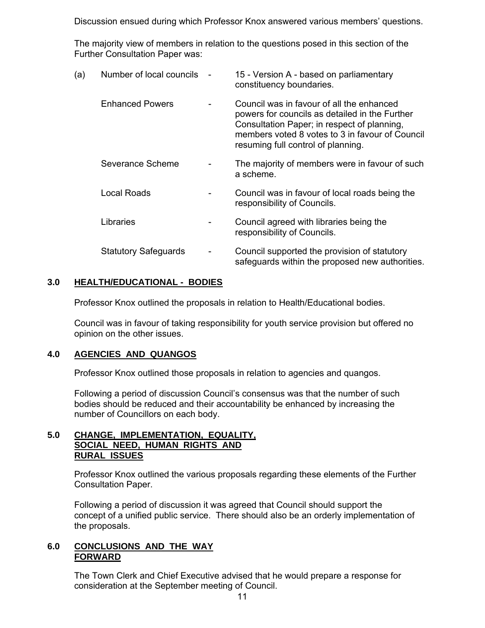Discussion ensued during which Professor Knox answered various members' questions.

The majority view of members in relation to the questions posed in this section of the Further Consultation Paper was:

| (a) | Number of local councils    | 15 - Version A - based on parliamentary<br>constituency boundaries.                                                                                                                                                                 |
|-----|-----------------------------|-------------------------------------------------------------------------------------------------------------------------------------------------------------------------------------------------------------------------------------|
|     | <b>Enhanced Powers</b>      | Council was in favour of all the enhanced<br>powers for councils as detailed in the Further<br>Consultation Paper; in respect of planning,<br>members voted 8 votes to 3 in favour of Council<br>resuming full control of planning. |
|     | Severance Scheme            | The majority of members were in favour of such<br>a scheme.                                                                                                                                                                         |
|     | Local Roads                 | Council was in favour of local roads being the<br>responsibility of Councils.                                                                                                                                                       |
|     | Libraries                   | Council agreed with libraries being the<br>responsibility of Councils.                                                                                                                                                              |
|     | <b>Statutory Safeguards</b> | Council supported the provision of statutory<br>safeguards within the proposed new authorities.                                                                                                                                     |
|     |                             |                                                                                                                                                                                                                                     |

# **3.0 HEALTH/EDUCATIONAL - BODIES**

Professor Knox outlined the proposals in relation to Health/Educational bodies.

 Council was in favour of taking responsibility for youth service provision but offered no opinion on the other issues.

#### **4.0 AGENCIES AND QUANGOS**

Professor Knox outlined those proposals in relation to agencies and quangos.

 Following a period of discussion Council's consensus was that the number of such bodies should be reduced and their accountability be enhanced by increasing the number of Councillors on each body.

#### **5.0 CHANGE, IMPLEMENTATION, EQUALITY, SOCIAL NEED, HUMAN RIGHTS AND RURAL ISSUES**

Professor Knox outlined the various proposals regarding these elements of the Further Consultation Paper.

Following a period of discussion it was agreed that Council should support the concept of a unified public service. There should also be an orderly implementation of the proposals.

#### **6.0 CONCLUSIONS AND THE WAY FORWARD**

 The Town Clerk and Chief Executive advised that he would prepare a response for consideration at the September meeting of Council.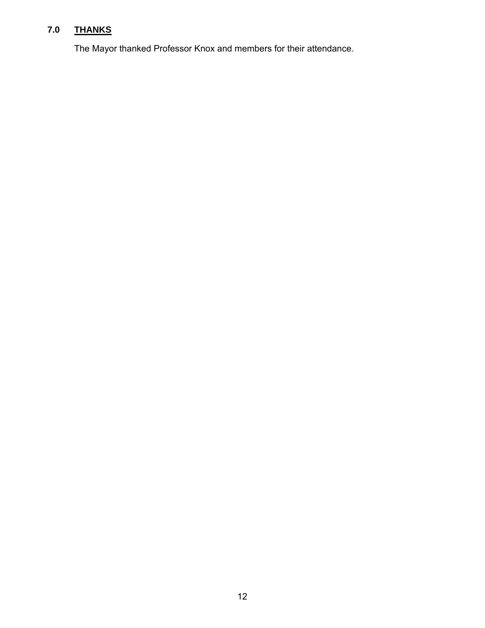# **7.0 THANKS**

The Mayor thanked Professor Knox and members for their attendance.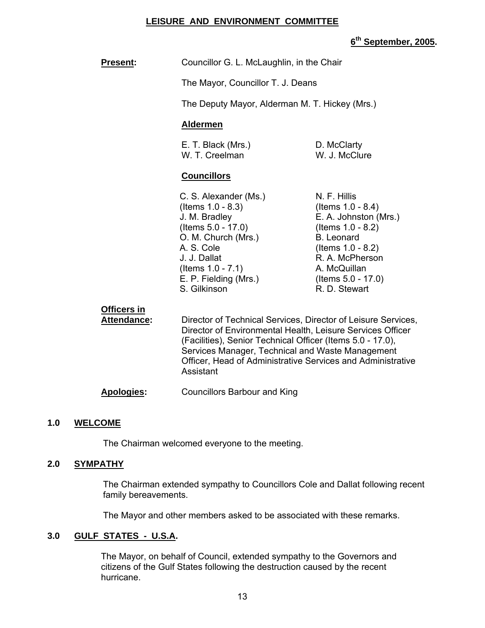#### **LEISURE AND ENVIRONMENT COMMITTEE**

# **6th September, 2005.**

| <b>Present:</b>                          | Councillor G. L. McLaughlin, in the Chair                                                                                                                                                                                                                                                                                 |                                                                                                                                                                                                           |
|------------------------------------------|---------------------------------------------------------------------------------------------------------------------------------------------------------------------------------------------------------------------------------------------------------------------------------------------------------------------------|-----------------------------------------------------------------------------------------------------------------------------------------------------------------------------------------------------------|
|                                          | The Mayor, Councillor T. J. Deans                                                                                                                                                                                                                                                                                         |                                                                                                                                                                                                           |
|                                          | The Deputy Mayor, Alderman M. T. Hickey (Mrs.)                                                                                                                                                                                                                                                                            |                                                                                                                                                                                                           |
|                                          | <b>Aldermen</b>                                                                                                                                                                                                                                                                                                           |                                                                                                                                                                                                           |
|                                          | E. T. Black (Mrs.)<br>W. T. Creelman                                                                                                                                                                                                                                                                                      | D. McClarty<br>W. J. McClure                                                                                                                                                                              |
|                                          | <b>Councillors</b>                                                                                                                                                                                                                                                                                                        |                                                                                                                                                                                                           |
|                                          | C. S. Alexander (Ms.)<br>(Items 1.0 - 8.3)<br>J. M. Bradley<br>(Items $5.0 - 17.0$ )<br>O. M. Church (Mrs.)<br>A. S. Cole<br>J. J. Dallat<br>(Items $1.0 - 7.1$ )<br>E. P. Fielding (Mrs.)<br>S. Gilkinson                                                                                                                | N. F. Hillis<br>(Items $1.0 - 8.4$ )<br>E. A. Johnston (Mrs.)<br>(Items 1.0 - 8.2)<br><b>B.</b> Leonard<br>(Items $1.0 - 8.2$ )<br>R. A. McPherson<br>A. McQuillan<br>(Items 5.0 - 17.0)<br>R. D. Stewart |
| <b>Officers in</b><br><b>Attendance:</b> | Director of Technical Services, Director of Leisure Services,<br>Director of Environmental Health, Leisure Services Officer<br>(Facilities), Senior Technical Officer (Items 5.0 - 17.0),<br>Services Manager, Technical and Waste Management<br>Officer, Head of Administrative Services and Administrative<br>Assistant |                                                                                                                                                                                                           |
|                                          |                                                                                                                                                                                                                                                                                                                           |                                                                                                                                                                                                           |

# **Apologies:** Councillors Barbour and King

#### **1.0 WELCOME**

The Chairman welcomed everyone to the meeting.

#### **2.0 SYMPATHY**

The Chairman extended sympathy to Councillors Cole and Dallat following recent family bereavements.

The Mayor and other members asked to be associated with these remarks.

#### **3.0 GULF STATES - U.S.A.**

The Mayor, on behalf of Council, extended sympathy to the Governors and citizens of the Gulf States following the destruction caused by the recent hurricane.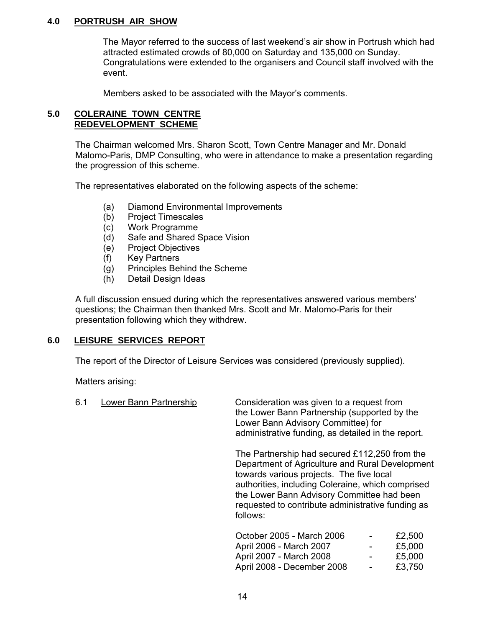#### **4.0 PORTRUSH AIR SHOW**

The Mayor referred to the success of last weekend's air show in Portrush which had attracted estimated crowds of 80,000 on Saturday and 135,000 on Sunday. Congratulations were extended to the organisers and Council staff involved with the event.

Members asked to be associated with the Mayor's comments.

#### **5.0 COLERAINE TOWN CENTRE REDEVELOPMENT SCHEME**

The Chairman welcomed Mrs. Sharon Scott, Town Centre Manager and Mr. Donald Malomo-Paris, DMP Consulting, who were in attendance to make a presentation regarding the progression of this scheme.

The representatives elaborated on the following aspects of the scheme:

- (a) Diamond Environmental Improvements
- (b) Project Timescales
- (c) Work Programme
- (d) Safe and Shared Space Vision
- (e) Project Objectives
- (f) Key Partners
- (g) Principles Behind the Scheme
- (h) Detail Design Ideas

A full discussion ensued during which the representatives answered various members' questions; the Chairman then thanked Mrs. Scott and Mr. Malomo-Paris for their presentation following which they withdrew.

#### **6.0 LEISURE SERVICES REPORT**

The report of the Director of Leisure Services was considered (previously supplied).

Matters arising:

| 6.1 | Lower Bann Partnership | Consideration was given to a request from<br>the Lower Bann Partnership (supported by the<br>Lower Bann Advisory Committee) for<br>administrative funding, as detailed in the report.                                                                                                                            |
|-----|------------------------|------------------------------------------------------------------------------------------------------------------------------------------------------------------------------------------------------------------------------------------------------------------------------------------------------------------|
|     |                        | The Partnership had secured £112,250 from the<br>Department of Agriculture and Rural Development<br>towards various projects. The five local<br>authorities, including Coleraine, which comprised<br>the Lower Bann Advisory Committee had been<br>requested to contribute administrative funding as<br>follows: |
|     |                        | October 2005 - March 2006<br>£2,500                                                                                                                                                                                                                                                                              |

| October 2005 - March 2006  | $\overline{\phantom{0}}$ | £2,500 |
|----------------------------|--------------------------|--------|
| April 2006 - March 2007    | $\overline{\phantom{0}}$ | £5,000 |
| April 2007 - March 2008    | $\overline{\phantom{0}}$ | £5,000 |
| April 2008 - December 2008 | $\overline{\phantom{0}}$ | £3,750 |
|                            |                          |        |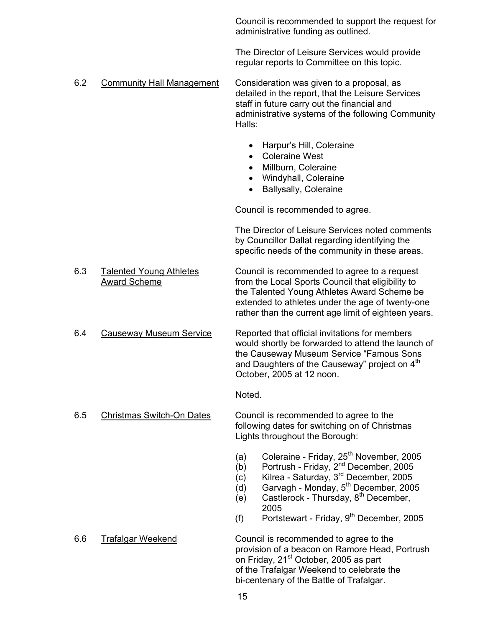Council is recommended to support the request for administrative funding as outlined.

The Director of Leisure Services would provide regular reports to Committee on this topic.

- 6.2 Community Hall Management Consideration was given to a proposal, as detailed in the report, that the Leisure Services staff in future carry out the financial and administrative systems of the following Community Halls:
	- Harpur's Hill, Coleraine
	- Coleraine West
	- Millburn, Coleraine
	- Windyhall, Coleraine
	- Ballysally, Coleraine

Council is recommended to agree.

The Director of Leisure Services noted comments by Councillor Dallat regarding identifying the specific needs of the community in these areas.

- 6.3 Talented Young Athletes Council is recommended to agree to a request Award Scheme **From the Local Sports Council that eligibility to** from the Local Sports Council that eligibility to the Talented Young Athletes Award Scheme be extended to athletes under the age of twenty-one rather than the current age limit of eighteen years.
- 6.4 Causeway Museum Service Reported that official invitations for members would shortly be forwarded to attend the launch of the Causeway Museum Service "Famous Sons and Daughters of the Causeway" project on 4<sup>th</sup> October, 2005 at 12 noon.

Noted.

 6.5 Christmas Switch-On Dates Council is recommended to agree to the following dates for switching on of Christmas Lights throughout the Borough:

- (a) Coleraine Friday,  $25<sup>th</sup>$  November, 2005
- $(b)$  Portrush Friday,  $2<sup>nd</sup>$  December, 2005
- $(c)$  Kilrea Saturday,  $3<sup>rd</sup>$  December, 2005
- $(d)$  Garvagh Monday,  $5<sup>th</sup>$  December, 2005
- $(e)$  Castlerock Thursday,  $8<sup>th</sup>$  December, 2005
- (f) Portstewart Friday,  $9<sup>th</sup>$  December, 2005

 6.6 Trafalgar Weekend Council is recommended to agree to the provision of a beacon on Ramore Head, Portrush on Friday, 21<sup>st</sup> October, 2005 as part of the Trafalgar Weekend to celebrate the bi-centenary of the Battle of Trafalgar.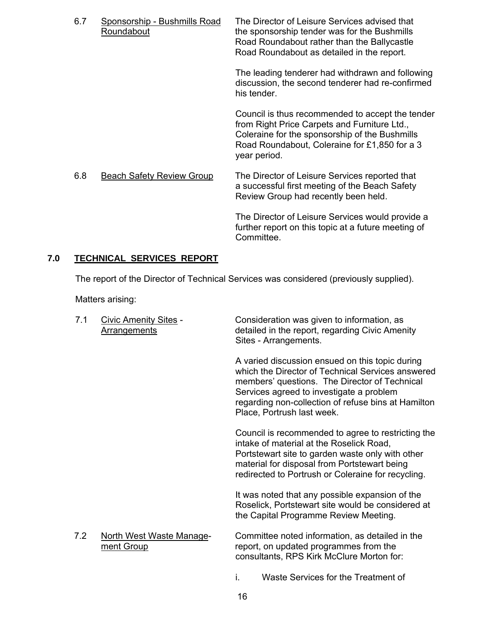| 6.7 | Sponsorship - Bushmills Road<br>Roundabout | The Director of Leisure Services advised that<br>the sponsorship tender was for the Bushmills<br>Road Roundabout rather than the Ballycastle<br>Road Roundabout as detailed in the report.                          |
|-----|--------------------------------------------|---------------------------------------------------------------------------------------------------------------------------------------------------------------------------------------------------------------------|
|     |                                            | The leading tenderer had withdrawn and following<br>discussion, the second tenderer had re-confirmed<br>his tender.                                                                                                 |
|     |                                            | Council is thus recommended to accept the tender<br>from Right Price Carpets and Furniture Ltd.,<br>Coleraine for the sponsorship of the Bushmills<br>Road Roundabout, Coleraine for £1,850 for a 3<br>year period. |
| 6.8 | <b>Beach Safety Review Group</b>           | The Director of Leisure Services reported that<br>a successful first meeting of the Beach Safety<br>Review Group had recently been held.                                                                            |
|     |                                            | The Director of Leisure Services would provide a<br>further report on this topic at a future meeting of<br>Committee.                                                                                               |

# **7.0 TECHNICAL SERVICES REPORT**

The report of the Director of Technical Services was considered (previously supplied).

Matters arising:

| 7.1 | <b>Civic Amenity Sites -</b><br><b>Arrangements</b> | Consideration was given to information, as<br>detailed in the report, regarding Civic Amenity<br>Sites - Arrangements.                                                                                                                                                                 |
|-----|-----------------------------------------------------|----------------------------------------------------------------------------------------------------------------------------------------------------------------------------------------------------------------------------------------------------------------------------------------|
|     |                                                     | A varied discussion ensued on this topic during<br>which the Director of Technical Services answered<br>members' questions. The Director of Technical<br>Services agreed to investigate a problem<br>regarding non-collection of refuse bins at Hamilton<br>Place, Portrush last week. |
|     |                                                     | Council is recommended to agree to restricting the<br>intake of material at the Roselick Road,<br>Portstewart site to garden waste only with other<br>material for disposal from Portstewart being<br>redirected to Portrush or Coleraine for recycling.                               |
|     |                                                     | It was noted that any possible expansion of the<br>Roselick, Portstewart site would be considered at<br>the Capital Programme Review Meeting.                                                                                                                                          |
| 7.2 | North West Waste Manage-<br>ment Group              | Committee noted information, as detailed in the<br>report, on updated programmes from the<br>consultants, RPS Kirk McClure Morton for:                                                                                                                                                 |

i. Waste Services for the Treatment of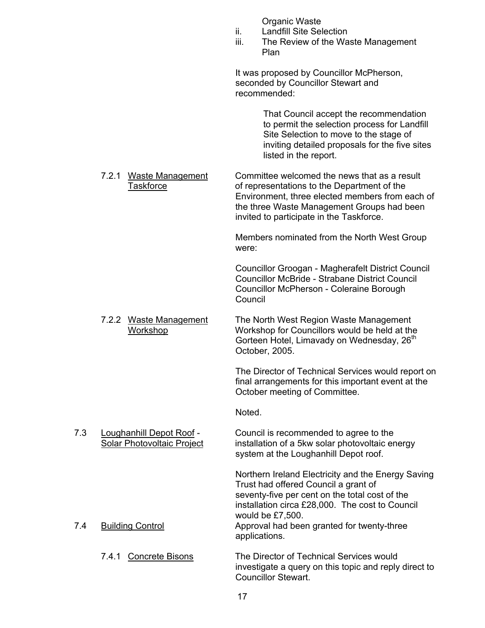Organic Waste

- ii. Landfill Site Selection
- iii. The Review of the Waste Management Plan

It was proposed by Councillor McPherson, seconded by Councillor Stewart and recommended:

> That Council accept the recommendation to permit the selection process for Landfill Site Selection to move to the stage of inviting detailed proposals for the five sites listed in the report.

 7.2.1 Waste Management Committee welcomed the news that as a result Taskforce of representations to the Department of the Environment, three elected members from each of the three Waste Management Groups had been invited to participate in the Taskforce.

> Members nominated from the North West Group were:

Councillor Groogan - Magherafelt District Council Councillor McBride - Strabane District Council Councillor McPherson - Coleraine Borough Council

7.2.2 Waste Management The North West Region Waste Management Workshop Workshop for Councillors would be held at the Gorteen Hotel, Limavady on Wednesday, 26<sup>th</sup> October, 2005.

> The Director of Technical Services would report on final arrangements for this important event at the October meeting of Committee.

Noted.

 7.3 Loughanhill Depot Roof - Council is recommended to agree to the Solar Photovoltaic Project installation of a 5kw solar photovoltaic energy system at the Loughanhill Depot roof.

Northern Ireland Electricity and the Energy Saving Trust had offered Council a grant of seventy-five per cent on the total cost of the installation circa £28,000. The cost to Council would be £7,500. 7.4 Building Control **Approval had been granted for twenty-three** applications.

 7.4.1 Concrete Bisons The Director of Technical Services would investigate a query on this topic and reply direct to Councillor Stewart.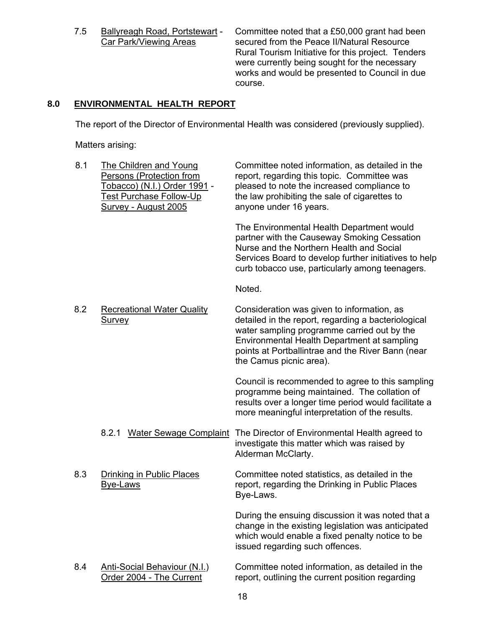7.5 Ballyreagh Road, Portstewart - Committee noted that a £50,000 grant had been<br>Car Park/Viewing Areas secured from the Peace II/Natural Resource secured from the Peace II/Natural Resource Rural Tourism Initiative for this project. Tenders were currently being sought for the necessary works and would be presented to Council in due course.

# **8.0 ENVIRONMENTAL HEALTH REPORT**

The report of the Director of Environmental Health was considered (previously supplied).

Matters arising:

| 8.1 | The Children and Young<br>Persons (Protection from<br>Tobacco) (N.I.) Order 1991 -<br>Test Purchase Follow-Up<br>Survey - August 2005 | Committee noted information, as detailed in the<br>report, regarding this topic. Committee was<br>pleased to note the increased compliance to<br>the law prohibiting the sale of cigarettes to<br>anyone under 16 years.                                                        |
|-----|---------------------------------------------------------------------------------------------------------------------------------------|---------------------------------------------------------------------------------------------------------------------------------------------------------------------------------------------------------------------------------------------------------------------------------|
|     |                                                                                                                                       | The Environmental Health Department would<br>partner with the Causeway Smoking Cessation<br>Nurse and the Northern Health and Social<br>Services Board to develop further initiatives to help<br>curb tobacco use, particularly among teenagers.                                |
|     |                                                                                                                                       | Noted.                                                                                                                                                                                                                                                                          |
| 8.2 | <b>Recreational Water Quality</b><br><b>Survey</b>                                                                                    | Consideration was given to information, as<br>detailed in the report, regarding a bacteriological<br>water sampling programme carried out by the<br>Environmental Health Department at sampling<br>points at Portballintrae and the River Bann (near<br>the Camus picnic area). |
|     |                                                                                                                                       | Council is recommended to agree to this sampling<br>programme being maintained. The collation of<br>results over a longer time period would facilitate a<br>more meaningful interpretation of the results.                                                                      |
|     | 8.2.1 Water Sewage Complaint                                                                                                          | The Director of Environmental Health agreed to<br>investigate this matter which was raised by<br>Alderman McClarty.                                                                                                                                                             |
| 8.3 | Drinking in Public Places<br><b>Bye-Laws</b>                                                                                          | Committee noted statistics, as detailed in the<br>report, regarding the Drinking in Public Places<br>Bye-Laws.                                                                                                                                                                  |
|     |                                                                                                                                       | During the ensuing discussion it was noted that a<br>change in the existing legislation was anticipated<br>which would enable a fixed penalty notice to be<br>issued regarding such offences.                                                                                   |
| 8.4 | <b>Anti-Social Behaviour (N.I.)</b><br>Order 2004 - The Current                                                                       | Committee noted information, as detailed in the<br>report, outlining the current position regarding                                                                                                                                                                             |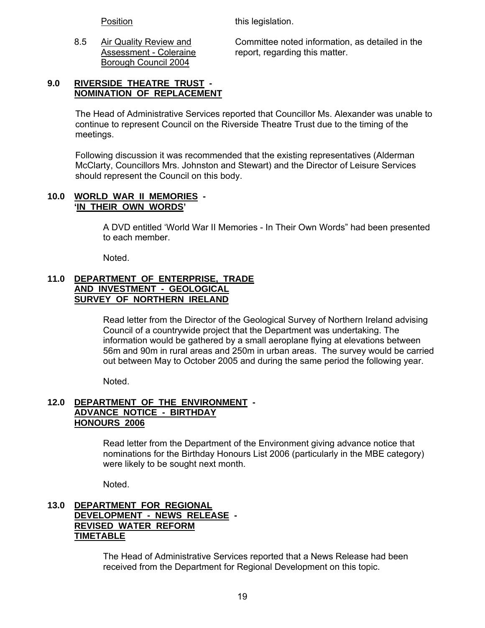Position this legislation.

Borough Council 2004

 8.5 Air Quality Review and Committee noted information, as detailed in the Assessment - Coleraine report, regarding this matter.

### **9.0 RIVERSIDE THEATRE TRUST - NOMINATION OF REPLACEMENT**

The Head of Administrative Services reported that Councillor Ms. Alexander was unable to continue to represent Council on the Riverside Theatre Trust due to the timing of the meetings.

Following discussion it was recommended that the existing representatives (Alderman McClarty, Councillors Mrs. Johnston and Stewart) and the Director of Leisure Services should represent the Council on this body.

#### **10.0 WORLD WAR II MEMORIES - 'IN THEIR OWN WORDS'**

A DVD entitled 'World War II Memories - In Their Own Words" had been presented to each member.

Noted.

#### **11.0 DEPARTMENT OF ENTERPRISE, TRADE AND INVESTMENT - GEOLOGICAL SURVEY OF NORTHERN IRELAND**

Read letter from the Director of the Geological Survey of Northern Ireland advising Council of a countrywide project that the Department was undertaking. The information would be gathered by a small aeroplane flying at elevations between 56m and 90m in rural areas and 250m in urban areas. The survey would be carried out between May to October 2005 and during the same period the following year.

Noted.

# **12.0 DEPARTMENT OF THE ENVIRONMENT - ADVANCE NOTICE - BIRTHDAY HONOURS 2006**

Read letter from the Department of the Environment giving advance notice that nominations for the Birthday Honours List 2006 (particularly in the MBE category) were likely to be sought next month.

Noted.

### **13.0 DEPARTMENT FOR REGIONAL DEVELOPMENT - NEWS RELEASE - REVISED WATER REFORM TIMETABLE**

The Head of Administrative Services reported that a News Release had been received from the Department for Regional Development on this topic.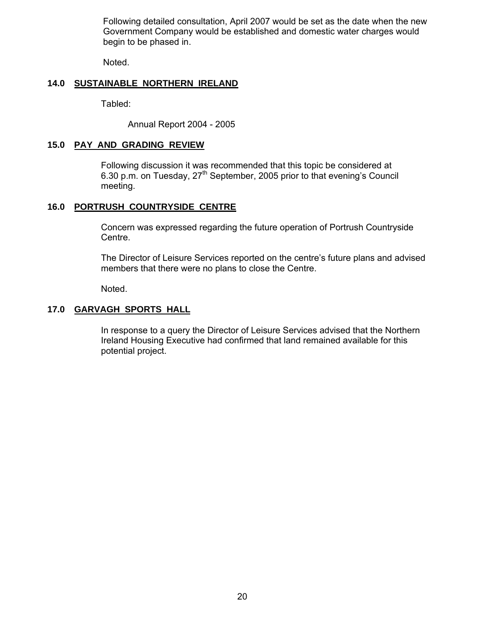Following detailed consultation, April 2007 would be set as the date when the new Government Company would be established and domestic water charges would begin to be phased in.

Noted.

#### **14.0 SUSTAINABLE NORTHERN IRELAND**

Tabled:

Annual Report 2004 - 2005

#### **15.0 PAY AND GRADING REVIEW**

 Following discussion it was recommended that this topic be considered at 6.30 p.m. on Tuesday, 27<sup>th</sup> September, 2005 prior to that evening's Council meeting.

#### **16.0 PORTRUSH COUNTRYSIDE CENTRE**

 Concern was expressed regarding the future operation of Portrush Countryside Centre.

 The Director of Leisure Services reported on the centre's future plans and advised members that there were no plans to close the Centre.

Noted.

#### **17.0 GARVAGH SPORTS HALL**

 In response to a query the Director of Leisure Services advised that the Northern Ireland Housing Executive had confirmed that land remained available for this potential project.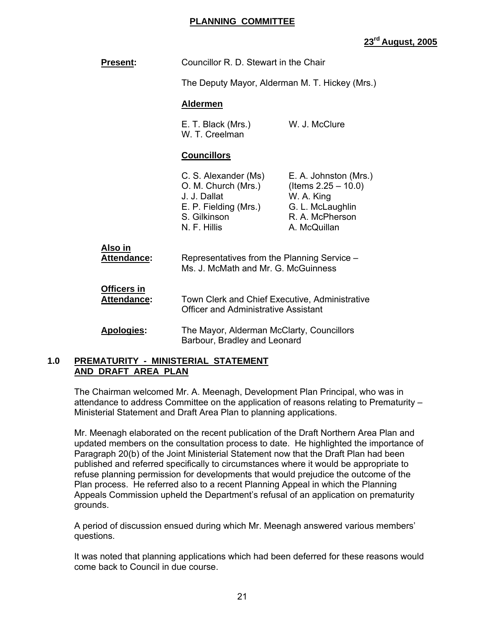#### **PLANNING COMMITTEE**

# **23rd August, 2005**

| <b>Present:</b>                   | Councillor R. D. Stewart in the Chair                                                                                |                                                                                                                      |
|-----------------------------------|----------------------------------------------------------------------------------------------------------------------|----------------------------------------------------------------------------------------------------------------------|
|                                   | The Deputy Mayor, Alderman M. T. Hickey (Mrs.)                                                                       |                                                                                                                      |
|                                   | <b>Aldermen</b>                                                                                                      |                                                                                                                      |
|                                   | E. T. Black (Mrs.)<br>W. T. Creelman                                                                                 | W. J. McClure                                                                                                        |
|                                   | <b>Councillors</b>                                                                                                   |                                                                                                                      |
|                                   | C. S. Alexander (Ms)<br>O. M. Church (Mrs.)<br>J. J. Dallat<br>E. P. Fielding (Mrs.)<br>S. Gilkinson<br>N. F. Hillis | E. A. Johnston (Mrs.)<br>(Items $2.25 - 10.0$ )<br>W. A. King<br>G. L. McLaughlin<br>R. A. McPherson<br>A. McQuillan |
| Also in<br><b>Attendance:</b>     | Representatives from the Planning Service -<br>Ms. J. McMath and Mr. G. McGuinness                                   |                                                                                                                      |
| Officers in<br><b>Attendance:</b> | Town Clerk and Chief Executive, Administrative<br><b>Officer and Administrative Assistant</b>                        |                                                                                                                      |
| Apologies:                        | The Mayor, Alderman McClarty, Councillors<br>Barbour, Bradley and Leonard                                            |                                                                                                                      |

#### **1.0 PREMATURITY - MINISTERIAL STATEMENT AND DRAFT AREA PLAN**

 The Chairman welcomed Mr. A. Meenagh, Development Plan Principal, who was in attendance to address Committee on the application of reasons relating to Prematurity – Ministerial Statement and Draft Area Plan to planning applications.

 Mr. Meenagh elaborated on the recent publication of the Draft Northern Area Plan and updated members on the consultation process to date. He highlighted the importance of Paragraph 20(b) of the Joint Ministerial Statement now that the Draft Plan had been published and referred specifically to circumstances where it would be appropriate to refuse planning permission for developments that would prejudice the outcome of the Plan process. He referred also to a recent Planning Appeal in which the Planning Appeals Commission upheld the Department's refusal of an application on prematurity grounds.

 A period of discussion ensued during which Mr. Meenagh answered various members' questions.

 It was noted that planning applications which had been deferred for these reasons would come back to Council in due course.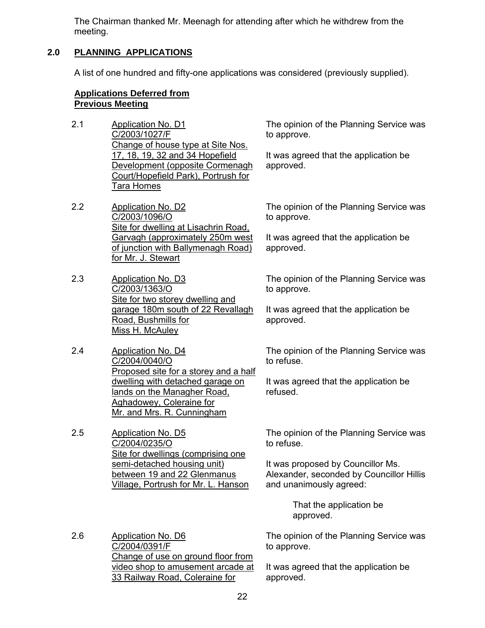The Chairman thanked Mr. Meenagh for attending after which he withdrew from the meeting.

# **2.0 PLANNING APPLICATIONS**

A list of one hundred and fifty-one applications was considered (previously supplied).

#### **Applications Deferred from Previous Meeting**

2.1 Application No. D1 C/2003/1027/F Change of house type at Site Nos. 17, 18, 19, 32 and 34 Hopefield Development (opposite Cormenagh Court/Hopefield Park), Portrush for Tara Homes

2.2 Application No. D2 C/2003/1096/O Site for dwelling at Lisachrin Road, Garvagh (approximately 250m west of junction with Ballymenagh Road) for Mr. J. Stewart

- 2.3 Application No. D3 C/2003/1363/O Site for two storey dwelling and garage 180m south of 22 Revallagh Road, Bushmills for Miss H. McAuley
- 2.4 Application No. D4 C/2004/0040/O Proposed site for a storey and a half dwelling with detached garage on lands on the Managher Road, Aghadowey, Coleraine for Mr. and Mrs. R. Cunningham

2.5 Application No. D5 C/2004/0235/O Site for dwellings (comprising one semi-detached housing unit) between 19 and 22 Glenmanus Village, Portrush for Mr. L. Hanson

The opinion of the Planning Service was to approve.

It was agreed that the application be approved.

The opinion of the Planning Service was to approve.

It was agreed that the application be approved.

The opinion of the Planning Service was to approve.

It was agreed that the application be approved.

The opinion of the Planning Service was to refuse.

It was agreed that the application be refused.

The opinion of the Planning Service was to refuse.

It was proposed by Councillor Ms. Alexander, seconded by Councillor Hillis and unanimously agreed:

> That the application be approved.

The opinion of the Planning Service was to approve.

It was agreed that the application be approved.

2.6 Application No. D6 C/2004/0391/F Change of use on ground floor from video shop to amusement arcade at 33 Railway Road, Coleraine for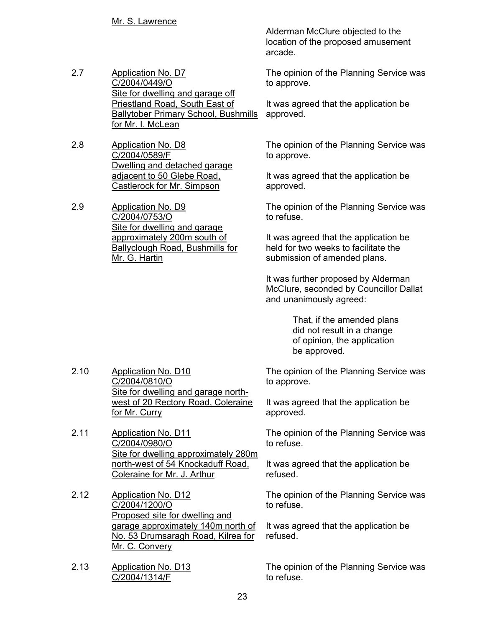- 2.7 Application No. D7 C/2004/0449/O Site for dwelling and garage off Priestland Road, South East of Ballytober Primary School, Bushmills for Mr. I. McLean
- 2.8 Application No. D8 C/2004/0589/F Dwelling and detached garage adjacent to 50 Glebe Road, Castlerock for Mr. Simpson

2.9 Application No. D9 C/2004/0753/O Site for dwelling and garage approximately 200m south of Ballyclough Road, Bushmills for Mr. G. Hartin

Alderman McClure objected to the location of the proposed amusement arcade.

The opinion of the Planning Service was to approve.

It was agreed that the application be approved.

The opinion of the Planning Service was to approve.

It was agreed that the application be approved.

The opinion of the Planning Service was to refuse.

It was agreed that the application be held for two weeks to facilitate the submission of amended plans.

It was further proposed by Alderman McClure, seconded by Councillor Dallat and unanimously agreed:

> That, if the amended plans did not result in a change of opinion, the application be approved.

The opinion of the Planning Service was to approve.

It was agreed that the application be approved.

The opinion of the Planning Service was to refuse.

It was agreed that the application be refused.

The opinion of the Planning Service was to refuse.

It was agreed that the application be refused.

The opinion of the Planning Service was to refuse.

2.10 Application No. D10 C/2004/0810/O Site for dwelling and garage northwest of 20 Rectory Road, Coleraine for Mr. Curry

2.11 Application No. D11 C/2004/0980/O Site for dwelling approximately 280m north-west of 54 Knockaduff Road, Coleraine for Mr. J. Arthur

- 2.12 Application No. D12 C/2004/1200/O Proposed site for dwelling and garage approximately 140m north of No. 53 Drumsaragh Road, Kilrea for Mr. C. Convery
- 2.13 Application No. D13 C/2004/1314/F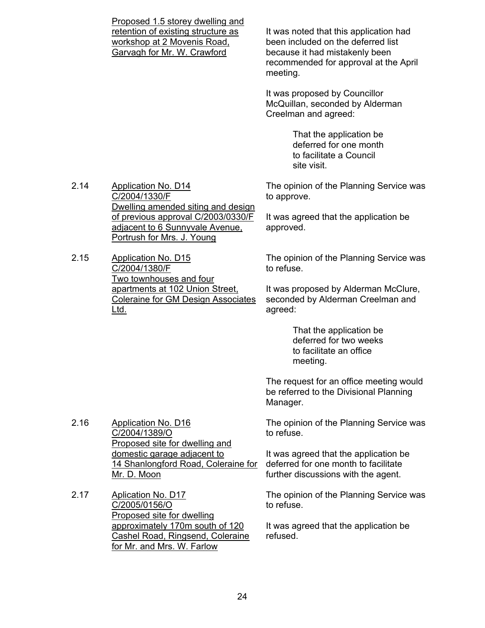Proposed 1.5 storey dwelling and retention of existing structure as workshop at 2 Movenis Road, Garvagh for Mr. W. Crawford

It was noted that this application had been included on the deferred list because it had mistakenly been recommended for approval at the April meeting.

It was proposed by Councillor McQuillan, seconded by Alderman Creelman and agreed:

> That the application be deferred for one month to facilitate a Council site visit.

The opinion of the Planning Service was to approve.

2.14 Application No. D14 C/2004/1330/F Dwelling amended siting and design of previous approval C/2003/0330/F adjacent to 6 Sunnyvale Avenue, Portrush for Mrs. J. Young

2.15 Application No. D15 C/2004/1380/F Two townhouses and four apartments at 102 Union Street, Coleraine for GM Design Associates Ltd.

It was agreed that the application be approved.

The opinion of the Planning Service was to refuse.

It was proposed by Alderman McClure, seconded by Alderman Creelman and agreed:

> That the application be deferred for two weeks to facilitate an office meeting.

The request for an office meeting would be referred to the Divisional Planning Manager.

The opinion of the Planning Service was to refuse.

It was agreed that the application be deferred for one month to facilitate further discussions with the agent.

The opinion of the Planning Service was to refuse.

It was agreed that the application be refused.

2.16 Application No. D16 C/2004/1389/O Proposed site for dwelling and domestic garage adjacent to 14 Shanlongford Road, Coleraine for Mr. D. Moon

2.17 Aplication No. D17 C/2005/0156/O Proposed site for dwelling approximately 170m south of 120 Cashel Road, Ringsend, Coleraine for Mr. and Mrs. W. Farlow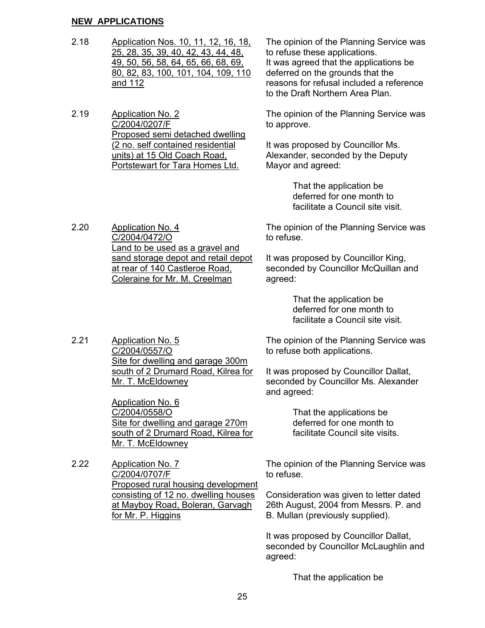#### **NEW APPLICATIONS**

2.18 Application Nos. 10, 11, 12, 16, 18, 25, 28, 35, 39, 40, 42, 43, 44, 48, 49, 50, 56, 58, 64, 65, 66, 68, 69, 80, 82, 83, 100, 101, 104, 109, 110 and 112

2.19 Application No. 2 C/2004/0207/F Proposed semi detached dwelling (2 no. self contained residential units) at 15 Old Coach Road, Portstewart for Tara Homes Ltd.

The opinion of the Planning Service was to refuse these applications. It was agreed that the applications be deferred on the grounds that the reasons for refusal included a reference to the Draft Northern Area Plan.

The opinion of the Planning Service was to approve.

It was proposed by Councillor Ms. Alexander, seconded by the Deputy Mayor and agreed:

> That the application be deferred for one month to facilitate a Council site visit.

2.20 Application No. 4 C/2004/0472/O Land to be used as a gravel and sand storage depot and retail depot at rear of 140 Castleroe Road, Coleraine for Mr. M. Creelman

The opinion of the Planning Service was to refuse.

It was proposed by Councillor King, seconded by Councillor McQuillan and agreed:

> That the application be deferred for one month to facilitate a Council site visit.

2.21 Application No. 5 C/2004/0557/O Site for dwelling and garage 300m south of 2 Drumard Road, Kilrea for Mr. T. McEldowney

> Application No. 6 C/2004/0558/O Site for dwelling and garage 270m south of 2 Drumard Road, Kilrea for Mr. T. McEldowney

2.22 Application No. 7 C/2004/0707/F Proposed rural housing development consisting of 12 no. dwelling houses at Mayboy Road, Boleran, Garvagh for Mr. P. Higgins

The opinion of the Planning Service was to refuse both applications.

It was proposed by Councillor Dallat, seconded by Councillor Ms. Alexander and agreed:

> That the applications be deferred for one month to facilitate Council site visits.

The opinion of the Planning Service was to refuse.

Consideration was given to letter dated 26th August, 2004 from Messrs. P. and B. Mullan (previously supplied).

It was proposed by Councillor Dallat, seconded by Councillor McLaughlin and agreed:

That the application be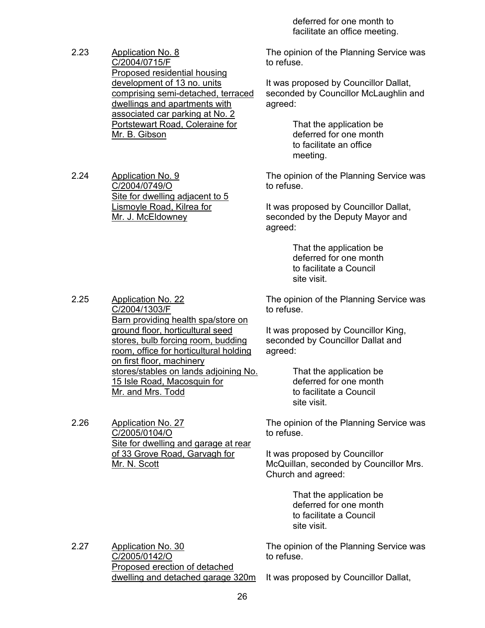deferred for one month to facilitate an office meeting.

2.23 Application No. 8 C/2004/0715/F Proposed residential housing development of 13 no. units comprising semi-detached, terraced dwellings and apartments with associated car parking at No. 2 Portstewart Road, Coleraine for Mr. B. Gibson

> Site for dwelling adjacent to 5 Lismoyle Road, Kilrea for

2.24 Application No. 9

C/2004/0749/O

Mr. J. McEldowney

The opinion of the Planning Service was to refuse.

It was proposed by Councillor Dallat, seconded by Councillor McLaughlin and agreed:

> That the application be deferred for one month to facilitate an office meeting.

The opinion of the Planning Service was to refuse.

It was proposed by Councillor Dallat, seconded by the Deputy Mayor and agreed:

> That the application be deferred for one month to facilitate a Council site visit.

The opinion of the Planning Service was to refuse.

It was proposed by Councillor King, seconded by Councillor Dallat and agreed:

> That the application be deferred for one month to facilitate a Council site visit.

The opinion of the Planning Service was to refuse.

It was proposed by Councillor McQuillan, seconded by Councillor Mrs. Church and agreed:

> That the application be deferred for one month to facilitate a Council site visit.

The opinion of the Planning Service was to refuse.

2.27 Application No. 30 C/2005/0142/O Proposed erection of detached dwelling and detached garage 320m

It was proposed by Councillor Dallat,

2.25 Application No. 22 C/2004/1303/F Barn providing health spa/store on ground floor, horticultural seed stores, bulb forcing room, budding room, office for horticultural holding on first floor, machinery stores/stables on lands adjoining No. 15 Isle Road, Macosquin for Mr. and Mrs. Todd

2.26 Application No. 27 C/2005/0104/O Site for dwelling and garage at rear of 33 Grove Road, Garvagh for Mr. N. Scott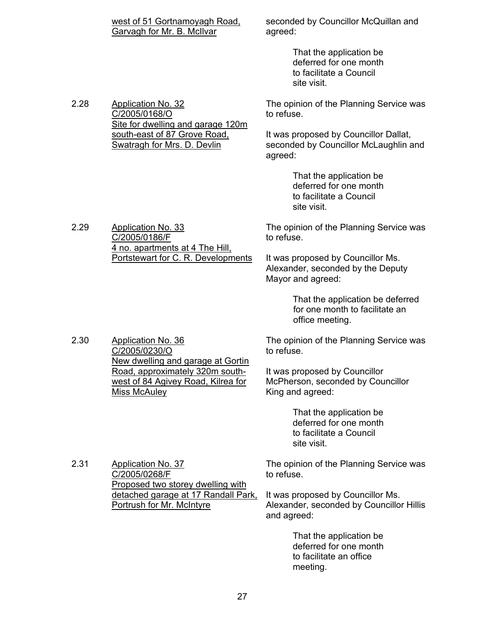| west of 51 Gortnamoyagh Road, |  |
|-------------------------------|--|
| Garvagh for Mr. B. McIlvar    |  |

seconded by Councillor McQuillan and agreed:

> That the application be deferred for one month to facilitate a Council site visit.

The opinion of the Planning Service was to refuse.

It was proposed by Councillor Dallat, seconded by Councillor McLaughlin and agreed:

> That the application be deferred for one month to facilitate a Council site visit.

The opinion of the Planning Service was to refuse.

It was proposed by Councillor Ms. Alexander, seconded by the Deputy Mayor and agreed:

> That the application be deferred for one month to facilitate an office meeting.

The opinion of the Planning Service was to refuse.

It was proposed by Councillor McPherson, seconded by Councillor King and agreed:

> That the application be deferred for one month to facilitate a Council site visit.

The opinion of the Planning Service was to refuse.

It was proposed by Councillor Ms. Alexander, seconded by Councillor Hillis and agreed:

> That the application be deferred for one month to facilitate an office meeting.

2.28 Application No. 32 C/2005/0168/O Site for dwelling and garage 120m south-east of 87 Grove Road, Swatragh for Mrs. D. Devlin

2.29 Application No. 33

2.30 Application No. 36

2.31 Application No. 37

C/2005/0268/F

C/2005/0230/O

Miss McAuley

C/2005/0186/F

4 no. apartments at 4 The Hill, Portstewart for C. R. Developments

New dwelling and garage at Gortin Road, approximately 320m southwest of 84 Agivey Road, Kilrea for

Proposed two storey dwelling with detached garage at 17 Randall Park,

Portrush for Mr. McIntyre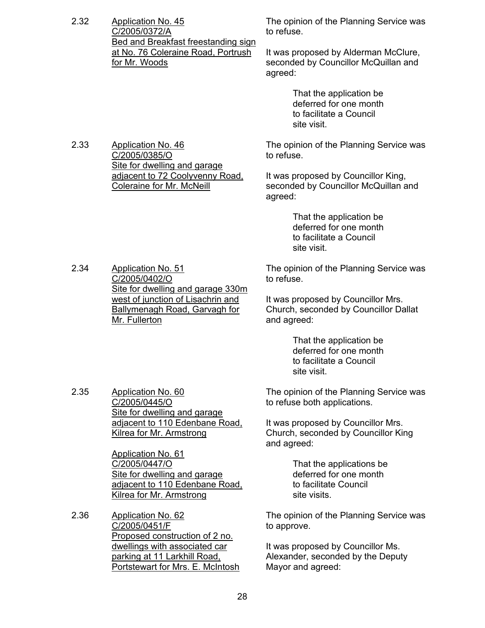2.32 Application No. 45 C/2005/0372/A Bed and Breakfast freestanding sign at No. 76 Coleraine Road, Portrush for Mr. Woods

> Site for dwelling and garage adjacent to 72 Coolyvenny Road,

Coleraine for Mr. McNeill

2.33 Application No. 46

2.34 Application No. 51

C/2005/0402/O

Mr. Fullerton

C/2005/0385/O

The opinion of the Planning Service was to refuse.

It was proposed by Alderman McClure, seconded by Councillor McQuillan and agreed:

> That the application be deferred for one month to facilitate a Council site visit.

The opinion of the Planning Service was to refuse.

It was proposed by Councillor King, seconded by Councillor McQuillan and agreed:

> That the application be deferred for one month to facilitate a Council site visit.

The opinion of the Planning Service was to refuse.

It was proposed by Councillor Mrs. Church, seconded by Councillor Dallat and agreed:

> That the application be deferred for one month to facilitate a Council site visit.

2.35 Application No. 60 C/2005/0445/O Site for dwelling and garage adjacent to 110 Edenbane Road, Kilrea for Mr. Armstrong

Site for dwelling and garage 330m west of junction of Lisachrin and Ballymenagh Road, Garvagh for

Application No. 61 C/2005/0447/O Site for dwelling and garage adjacent to 110 Edenbane Road, Kilrea for Mr. Armstrong

2.36 Application No. 62 C/2005/0451/F Proposed construction of 2 no. dwellings with associated car parking at 11 Larkhill Road, Portstewart for Mrs. E. McIntosh The opinion of the Planning Service was to refuse both applications.

It was proposed by Councillor Mrs. Church, seconded by Councillor King and agreed:

> That the applications be deferred for one month to facilitate Council site visits.

The opinion of the Planning Service was to approve.

It was proposed by Councillor Ms. Alexander, seconded by the Deputy Mayor and agreed: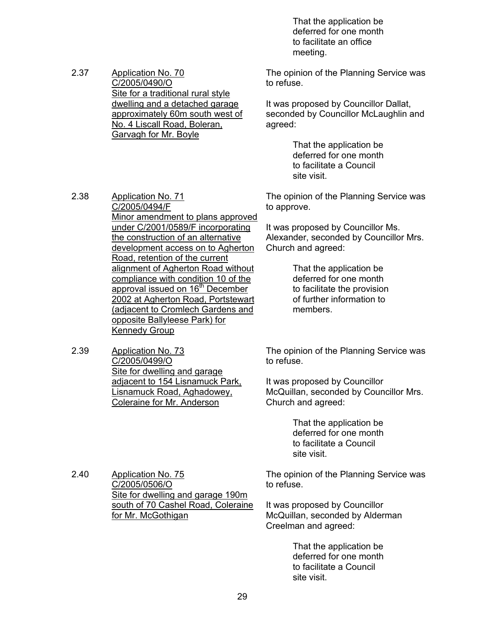That the application be deferred for one month to facilitate an office meeting.

2.37 Application No. 70 C/2005/0490/O Site for a traditional rural style dwelling and a detached garage approximately 60m south west of No. 4 Liscall Road, Boleran, Garvagh for Mr. Boyle

The opinion of the Planning Service was to refuse.

It was proposed by Councillor Dallat, seconded by Councillor McLaughlin and agreed:

> That the application be deferred for one month to facilitate a Council site visit.

The opinion of the Planning Service was to approve.

It was proposed by Councillor Ms. Alexander, seconded by Councillor Mrs. Church and agreed:

> That the application be deferred for one month to facilitate the provision of further information to members.

The opinion of the Planning Service was to refuse.

It was proposed by Councillor McQuillan, seconded by Councillor Mrs. Church and agreed:

> That the application be deferred for one month to facilitate a Council site visit.

The opinion of the Planning Service was to refuse.

It was proposed by Councillor McQuillan, seconded by Alderman Creelman and agreed:

> That the application be deferred for one month to facilitate a Council site visit.

2.38 Application No. 71 C/2005/0494/F Minor amendment to plans approved under C/2001/0589/F incorporating the construction of an alternative development access on to Agherton Road, retention of the current alignment of Agherton Road without compliance with condition 10 of the approval issued on 16<sup>th</sup> December 2002 at Agherton Road, Portstewart (adjacent to Cromlech Gardens and opposite Ballyleese Park) for Kennedy Group

2.39 Application No. 73 C/2005/0499/O Site for dwelling and garage adjacent to 154 Lisnamuck Park, Lisnamuck Road, Aghadowey, Coleraine for Mr. Anderson

2.40 Application No. 75 C/2005/0506/O Site for dwelling and garage 190m south of 70 Cashel Road, Coleraine for Mr. McGothigan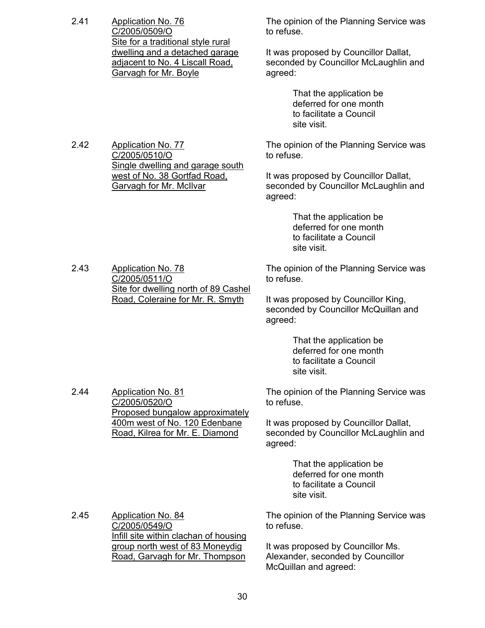2.41 Application No. 76 C/2005/0509/O Site for a traditional style rural dwelling and a detached garage adjacent to No. 4 Liscall Road, Garvagh for Mr. Boyle

2.42 Application No. 77

C/2005/0510/O

The opinion of the Planning Service was to refuse.

It was proposed by Councillor Dallat, seconded by Councillor McLaughlin and agreed:

> That the application be deferred for one month to facilitate a Council site visit.

The opinion of the Planning Service was to refuse.

It was proposed by Councillor Dallat, seconded by Councillor McLaughlin and agreed:

> That the application be deferred for one month to facilitate a Council site visit.

2.43 Application No. 78 C/2005/0511/O Site for dwelling north of 89 Cashel Road, Coleraine for Mr. R. Smyth

Single dwelling and garage south west of No. 38 Gortfad Road, Garvagh for Mr. McIlvar

> The opinion of the Planning Service was to refuse.

It was proposed by Councillor King, seconded by Councillor McQuillan and agreed:

> That the application be deferred for one month to facilitate a Council site visit.

The opinion of the Planning Service was to refuse.

It was proposed by Councillor Dallat, seconded by Councillor McLaughlin and agreed:

> That the application be deferred for one month to facilitate a Council site visit.

The opinion of the Planning Service was to refuse.

It was proposed by Councillor Ms. Alexander, seconded by Councillor McQuillan and agreed:

2.44 Application No. 81 C/2005/0520/O Proposed bungalow approximately 400m west of No. 120 Edenbane Road, Kilrea for Mr. E. Diamond

2.45 Application No. 84

C/2005/0549/O

Infill site within clachan of housing group north west of 83 Moneydig Road, Garvagh for Mr. Thompson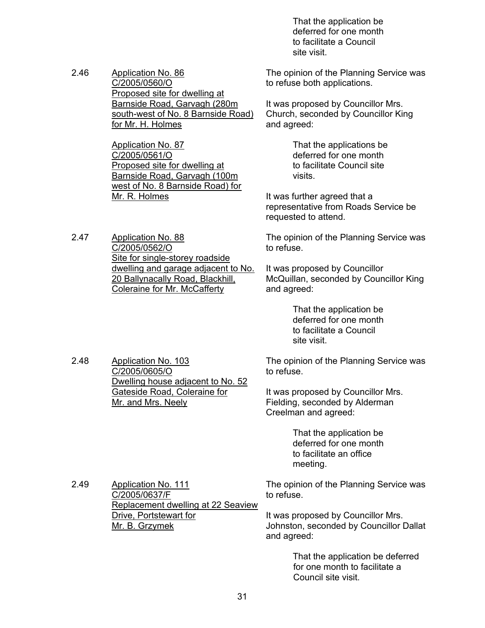That the application be deferred for one month to facilitate a Council site visit.

2.46 Application No. 86 C/2005/0560/O Proposed site for dwelling at Barnside Road, Garvagh (280m south-west of No. 8 Barnside Road) for Mr. H. Holmes

> Application No. 87 C/2005/0561/O Proposed site for dwelling at Barnside Road, Garvagh (100m west of No. 8 Barnside Road) for Mr. R. Holmes

2.47 Application No. 88 C/2005/0562/O Site for single-storey roadside dwelling and garage adjacent to No. 20 Ballynacally Road, Blackhill, Coleraine for Mr. McCafferty

> Dwelling house adjacent to No. 52 Gateside Road, Coleraine for

2.48 Application No. 103 C/2005/0605/O

Mr. and Mrs. Neely

The opinion of the Planning Service was to refuse both applications.

It was proposed by Councillor Mrs. Church, seconded by Councillor King and agreed:

> That the applications be deferred for one month to facilitate Council site visits.

It was further agreed that a representative from Roads Service be requested to attend.

The opinion of the Planning Service was to refuse.

It was proposed by Councillor McQuillan, seconded by Councillor King and agreed:

> That the application be deferred for one month to facilitate a Council site visit.

The opinion of the Planning Service was to refuse.

It was proposed by Councillor Mrs. Fielding, seconded by Alderman Creelman and agreed:

> That the application be deferred for one month to facilitate an office meeting.

2.49 Application No. 111 C/2005/0637/F Replacement dwelling at 22 Seaview Drive, Portstewart for Mr. B. Grzymek

The opinion of the Planning Service was to refuse.

It was proposed by Councillor Mrs. Johnston, seconded by Councillor Dallat and agreed:

> That the application be deferred for one month to facilitate a Council site visit.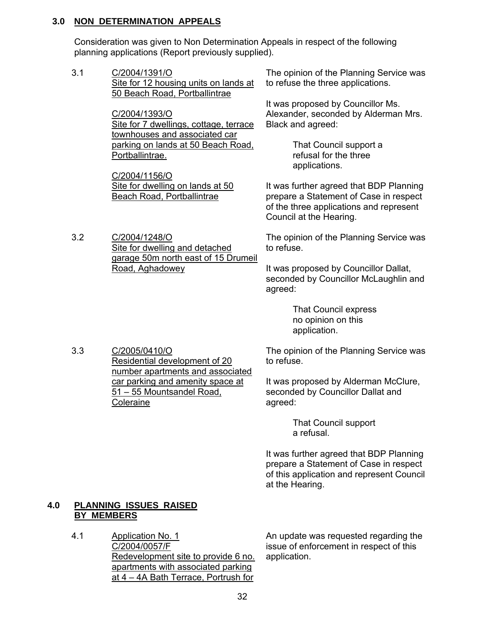#### **3.0 NON DETERMINATION APPEALS**

 Consideration was given to Non Determination Appeals in respect of the following planning applications (Report previously supplied).

3.1 C/2004/1391/O Site for 12 housing units on lands at 50 Beach Road, Portballintrae

> C/2004/1393/O Site for 7 dwellings, cottage, terrace townhouses and associated car parking on lands at 50 Beach Road, Portballintrae.

C/2004/1156/O Site for dwelling on lands at 50 Beach Road, Portballintrae

Site for dwelling and detached

Road, Aghadowey

The opinion of the Planning Service was to refuse the three applications.

It was proposed by Councillor Ms. Alexander, seconded by Alderman Mrs. Black and agreed:

> That Council support a refusal for the three applications.

It was further agreed that BDP Planning prepare a Statement of Case in respect of the three applications and represent Council at the Hearing.

garage 50m north east of 15 Drumeil The opinion of the Planning Service was to refuse.

> It was proposed by Councillor Dallat, seconded by Councillor McLaughlin and agreed:

> > That Council express no opinion on this application.

3.3 C/2005/0410/O Residential development of 20 number apartments and associated car parking and amenity space at 51 – 55 Mountsandel Road, **Coleraine** 

The opinion of the Planning Service was to refuse.

It was proposed by Alderman McClure, seconded by Councillor Dallat and agreed:

> That Council support a refusal.

It was further agreed that BDP Planning prepare a Statement of Case in respect of this application and represent Council at the Hearing.

# **4.0 PLANNING ISSUES RAISED BY MEMBERS**

3.2 C/2004/1248/O

4.1 Application No. 1 C/2004/0057/F Redevelopment site to provide 6 no. apartments with associated parking at 4 – 4A Bath Terrace, Portrush for

An update was requested regarding the issue of enforcement in respect of this application.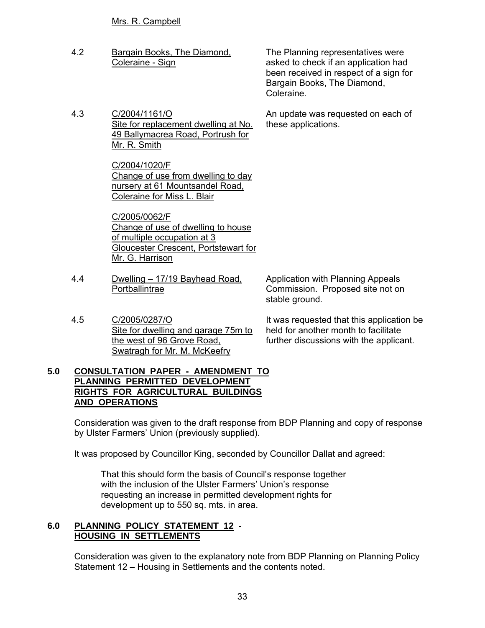#### Mrs. R. Campbell

4.2 Bargain Books, The Diamond, Coleraine - Sign

The Planning representatives were asked to check if an application had been received in respect of a sign for Bargain Books, The Diamond, Coleraine.

An update was requested on each of

these applications.

4.3 C/2004/1161/O Site for replacement dwelling at No. 49 Ballymacrea Road, Portrush for Mr. R. Smith

> C/2004/1020/F Change of use from dwelling to day nursery at 61 Mountsandel Road, Coleraine for Miss L. Blair

C/2005/0062/F Change of use of dwelling to house of multiple occupation at 3 Gloucester Crescent, Portstewart for Mr. G. Harrison

4.4 Dwelling – 17/19 Bayhead Road, **Portballintrae** 

Application with Planning Appeals Commission. Proposed site not on stable ground.

4.5 C/2005/0287/O Site for dwelling and garage 75m to the west of 96 Grove Road, Swatragh for Mr. M. McKeefry

It was requested that this application be held for another month to facilitate further discussions with the applicant.

#### **5.0 CONSULTATION PAPER - AMENDMENT TO PLANNING PERMITTED DEVELOPMENT RIGHTS FOR AGRICULTURAL BUILDINGS AND OPERATIONS**

 Consideration was given to the draft response from BDP Planning and copy of response by Ulster Farmers' Union (previously supplied).

It was proposed by Councillor King, seconded by Councillor Dallat and agreed:

 That this should form the basis of Council's response together with the inclusion of the Ulster Farmers' Union's response requesting an increase in permitted development rights for development up to 550 sq. mts. in area.

#### **6.0 PLANNING POLICY STATEMENT 12 - HOUSING IN SETTLEMENTS**

 Consideration was given to the explanatory note from BDP Planning on Planning Policy Statement 12 – Housing in Settlements and the contents noted.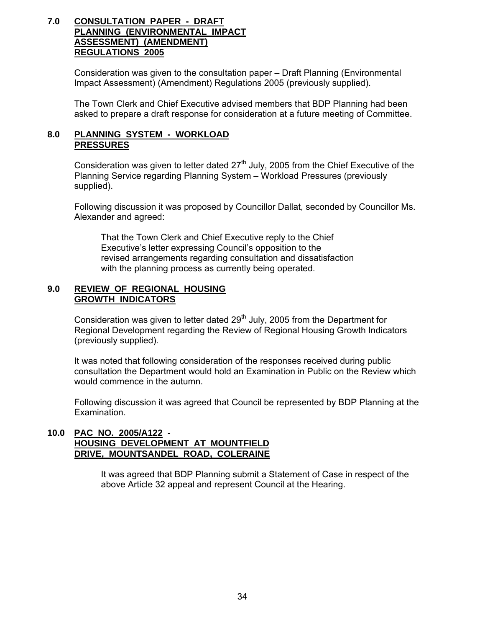#### **7.0 CONSULTATION PAPER - DRAFT PLANNING (ENVIRONMENTAL IMPACT ASSESSMENT) (AMENDMENT) REGULATIONS 2005**

 Consideration was given to the consultation paper – Draft Planning (Environmental Impact Assessment) (Amendment) Regulations 2005 (previously supplied).

 The Town Clerk and Chief Executive advised members that BDP Planning had been asked to prepare a draft response for consideration at a future meeting of Committee.

#### **8.0 PLANNING SYSTEM - WORKLOAD PRESSURES**

Consideration was given to letter dated  $27<sup>th</sup>$  July, 2005 from the Chief Executive of the Planning Service regarding Planning System – Workload Pressures (previously supplied).

 Following discussion it was proposed by Councillor Dallat, seconded by Councillor Ms. Alexander and agreed:

 That the Town Clerk and Chief Executive reply to the Chief Executive's letter expressing Council's opposition to the revised arrangements regarding consultation and dissatisfaction with the planning process as currently being operated.

#### **9.0 REVIEW OF REGIONAL HOUSING GROWTH INDICATORS**

Consideration was given to letter dated 29<sup>th</sup> July, 2005 from the Department for Regional Development regarding the Review of Regional Housing Growth Indicators (previously supplied).

 It was noted that following consideration of the responses received during public consultation the Department would hold an Examination in Public on the Review which would commence in the autumn.

 Following discussion it was agreed that Council be represented by BDP Planning at the Examination.

#### **10.0 PAC NO. 2005/A122 - HOUSING DEVELOPMENT AT MOUNTFIELD DRIVE, MOUNTSANDEL ROAD, COLERAINE**

 It was agreed that BDP Planning submit a Statement of Case in respect of the above Article 32 appeal and represent Council at the Hearing.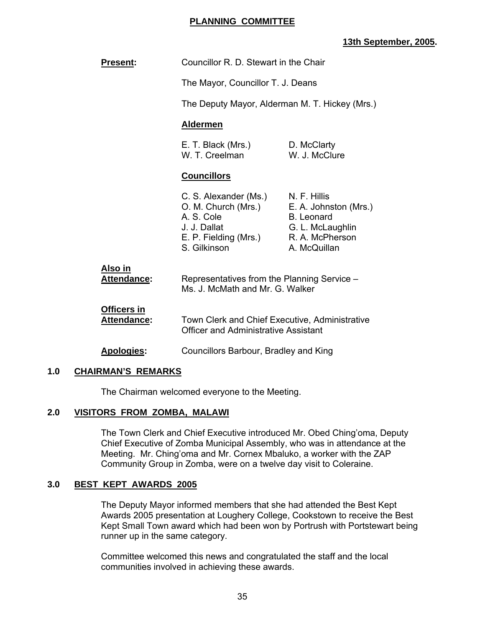#### **PLANNING COMMITTEE**

### **13th September, 2005.**

| <b>Present:</b>                          | Councillor R. D. Stewart in the Chair                                                                               |                                                                                                                   |
|------------------------------------------|---------------------------------------------------------------------------------------------------------------------|-------------------------------------------------------------------------------------------------------------------|
|                                          | The Mayor, Councillor T. J. Deans                                                                                   |                                                                                                                   |
|                                          | The Deputy Mayor, Alderman M. T. Hickey (Mrs.)                                                                      |                                                                                                                   |
|                                          | <b>Aldermen</b>                                                                                                     |                                                                                                                   |
|                                          | E. T. Black (Mrs.)<br>W. T. Creelman                                                                                | D. McClarty<br>W. J. McClure                                                                                      |
|                                          | <b>Councillors</b>                                                                                                  |                                                                                                                   |
|                                          | C. S. Alexander (Ms.)<br>O. M. Church (Mrs.)<br>A. S. Cole<br>J. J. Dallat<br>E. P. Fielding (Mrs.)<br>S. Gilkinson | N. F. Hillis<br>E. A. Johnston (Mrs.)<br><b>B.</b> Leonard<br>G. L. McLaughlin<br>R. A. McPherson<br>A. McQuillan |
| Also in<br>Attendance:                   | Representatives from the Planning Service -<br>Ms. J. McMath and Mr. G. Walker                                      |                                                                                                                   |
| <b>Officers in</b><br><b>Attendance:</b> | Town Clerk and Chief Executive, Administrative<br><b>Officer and Administrative Assistant</b>                       |                                                                                                                   |
| <b>Apologies:</b>                        | Councillors Barbour, Bradley and King                                                                               |                                                                                                                   |

#### **1.0 CHAIRMAN'S REMARKS**

The Chairman welcomed everyone to the Meeting.

#### **2.0 VISITORS FROM ZOMBA, MALAWI**

 The Town Clerk and Chief Executive introduced Mr. Obed Ching'oma, Deputy Chief Executive of Zomba Municipal Assembly, who was in attendance at the Meeting. Mr. Ching'oma and Mr. Cornex Mbaluko, a worker with the ZAP Community Group in Zomba, were on a twelve day visit to Coleraine.

#### **3.0 BEST KEPT AWARDS 2005**

 The Deputy Mayor informed members that she had attended the Best Kept Awards 2005 presentation at Loughery College, Cookstown to receive the Best Kept Small Town award which had been won by Portrush with Portstewart being runner up in the same category.

 Committee welcomed this news and congratulated the staff and the local communities involved in achieving these awards.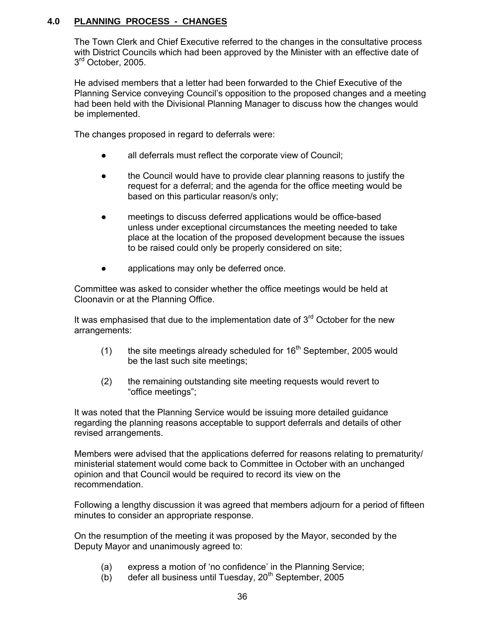# **4.0 PLANNING PROCESS - CHANGES**

 The Town Clerk and Chief Executive referred to the changes in the consultative process with District Councils which had been approved by the Minister with an effective date of 3<sup>rd</sup> October, 2005.

 He advised members that a letter had been forwarded to the Chief Executive of the Planning Service conveying Council's opposition to the proposed changes and a meeting had been held with the Divisional Planning Manager to discuss how the changes would be implemented.

The changes proposed in regard to deferrals were:

- all deferrals must reflect the corporate view of Council;
- the Council would have to provide clear planning reasons to justify the request for a deferral; and the agenda for the office meeting would be based on this particular reason/s only;
- meetings to discuss deferred applications would be office-based unless under exceptional circumstances the meeting needed to take place at the location of the proposed development because the issues to be raised could only be properly considered on site;
- applications may only be deferred once.

 Committee was asked to consider whether the office meetings would be held at Cloonavin or at the Planning Office.

It was emphasised that due to the implementation date of  $3<sup>rd</sup>$  October for the new arrangements:

- (1) the site meetings already scheduled for  $16<sup>th</sup>$  September, 2005 would be the last such site meetings;
- (2) the remaining outstanding site meeting requests would revert to "office meetings";

 It was noted that the Planning Service would be issuing more detailed guidance regarding the planning reasons acceptable to support deferrals and details of other revised arrangements.

 Members were advised that the applications deferred for reasons relating to prematurity/ ministerial statement would come back to Committee in October with an unchanged opinion and that Council would be required to record its view on the recommendation.

 Following a lengthy discussion it was agreed that members adjourn for a period of fifteen minutes to consider an appropriate response.

 On the resumption of the meeting it was proposed by the Mayor, seconded by the Deputy Mayor and unanimously agreed to:

- (a) express a motion of 'no confidence' in the Planning Service;
- (b) defer all business until Tuesday,  $20<sup>th</sup>$  September, 2005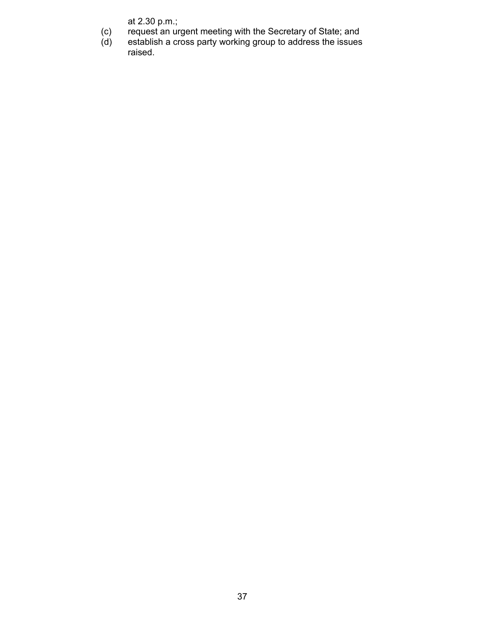- (c) request an urgent meeting with the Secretary of State; and
- at 2.30 p.m.;<br>(c) request an ur<br>(d) establish a cr (d) establish a cross party working group to address the issues raised.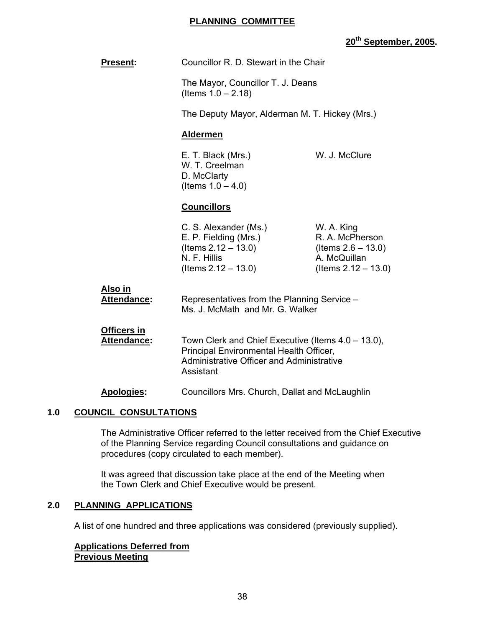#### **PLANNING COMMITTEE**

# **20th September, 2005.**

| <b>Present:</b>                   | Councillor R. D. Stewart in the Chair                                                                                                                          |                                                                                                  |
|-----------------------------------|----------------------------------------------------------------------------------------------------------------------------------------------------------------|--------------------------------------------------------------------------------------------------|
|                                   | The Mayor, Councillor T. J. Deans<br>(Items $1.0 - 2.18$ )                                                                                                     |                                                                                                  |
|                                   | The Deputy Mayor, Alderman M. T. Hickey (Mrs.)                                                                                                                 |                                                                                                  |
|                                   | <b>Aldermen</b>                                                                                                                                                |                                                                                                  |
|                                   | W. J. McClure<br>E. T. Black (Mrs.)<br>W. T. Creelman<br>D. McClarty<br>(Items $1.0 - 4.0$ )                                                                   |                                                                                                  |
|                                   | <b>Councillors</b>                                                                                                                                             |                                                                                                  |
|                                   | C. S. Alexander (Ms.)<br>E. P. Fielding (Mrs.)<br>(Items $2.12 - 13.0$ )<br>N. F. Hillis<br>(Items $2.12 - 13.0$ )                                             | W. A. King<br>R. A. McPherson<br>(Items $2.6 - 13.0$ )<br>A. McQuillan<br>(Items $2.12 - 13.0$ ) |
| Also in<br><b>Attendance:</b>     | Representatives from the Planning Service -<br>Ms. J. McMath and Mr. G. Walker                                                                                 |                                                                                                  |
| <b>Officers in</b><br>Attendance: | Town Clerk and Chief Executive (Items 4.0 – 13.0),<br>Principal Environmental Health Officer,<br><b>Administrative Officer and Administrative</b><br>Assistant |                                                                                                  |
| <b>Apologies:</b>                 | Councillors Mrs. Church, Dallat and McLaughlin                                                                                                                 |                                                                                                  |

#### **1.0 COUNCIL CONSULTATIONS**

 The Administrative Officer referred to the letter received from the Chief Executive of the Planning Service regarding Council consultations and guidance on procedures (copy circulated to each member).

 It was agreed that discussion take place at the end of the Meeting when the Town Clerk and Chief Executive would be present.

#### **2.0 PLANNING APPLICATIONS**

A list of one hundred and three applications was considered (previously supplied).

#### **Applications Deferred from Previous Meeting**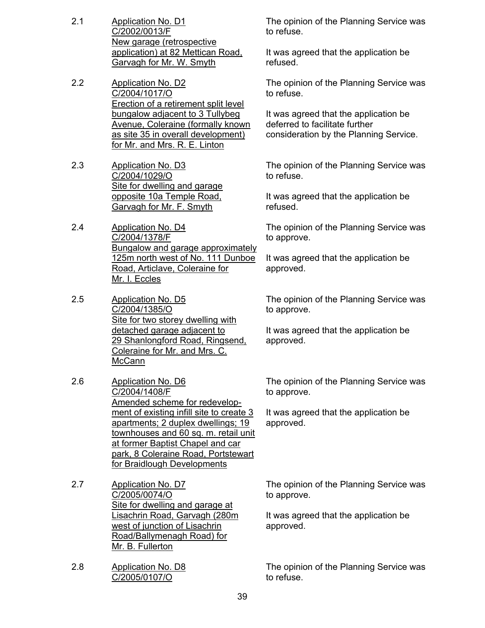- 2.1 Application No. D1 C/2002/0013/F New garage (retrospective application) at 82 Mettican Road, Garvagh for Mr. W. Smyth
- 2.2 Application No. D2 C/2004/1017/O Erection of a retirement split level bungalow adjacent to 3 Tullybeg Avenue, Coleraine (formally known as site 35 in overall development) for Mr. and Mrs. R. E. Linton
- 2.3 Application No. D3 C/2004/1029/O Site for dwelling and garage opposite 10a Temple Road, Garvagh for Mr. F. Smyth
- 2.4 Application No. D4 C/2004/1378/F Bungalow and garage approximately 125m north west of No. 111 Dunboe Road, Articlave, Coleraine for Mr. I. Eccles
- 2.5 Application No. D5 C/2004/1385/O Site for two storey dwelling with detached garage adjacent to 29 Shanlongford Road, Ringsend, Coleraine for Mr. and Mrs. C. **McCann**
- 2.6 Application No. D6 C/2004/1408/F Amended scheme for redevelopment of existing infill site to create 3 apartments; 2 duplex dwellings; 19 townhouses and 60 sq. m. retail unit at former Baptist Chapel and car park, 8 Coleraine Road, Portstewart for Braidlough Developments
- 2.7 Application No. D7 C/2005/0074/O Site for dwelling and garage at Lisachrin Road, Garvagh (280m west of junction of Lisachrin Road/Ballymenagh Road) for Mr. B. Fullerton
- 2.8 Application No. D8 C/2005/0107/O

The opinion of the Planning Service was to refuse.

It was agreed that the application be refused.

The opinion of the Planning Service was to refuse.

It was agreed that the application be deferred to facilitate further consideration by the Planning Service.

The opinion of the Planning Service was to refuse.

It was agreed that the application be refused.

The opinion of the Planning Service was to approve.

It was agreed that the application be approved.

The opinion of the Planning Service was to approve.

It was agreed that the application be approved.

The opinion of the Planning Service was to approve.

It was agreed that the application be approved.

The opinion of the Planning Service was to approve.

It was agreed that the application be approved.

The opinion of the Planning Service was to refuse.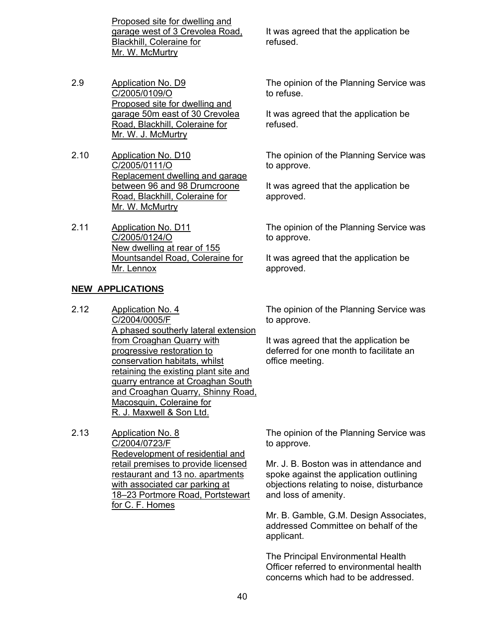Proposed site for dwelling and garage west of 3 Crevolea Road, Blackhill, Coleraine for Mr. W. McMurtry

- 2.9 Application No. D9 C/2005/0109/O Proposed site for dwelling and garage 50m east of 30 Crevolea Road, Blackhill, Coleraine for Mr. W. J. McMurtry
- 2.10 Application No. D10 C/2005/0111/O Replacement dwelling and garage between 96 and 98 Drumcroone Road, Blackhill, Coleraine for Mr. W. McMurtry
- 2.11 Application No. D11 C/2005/0124/O New dwelling at rear of 155 Mountsandel Road, Coleraine for Mr. Lennox

#### **NEW APPLICATIONS**

- 2.12 Application No. 4 C/2004/0005/F A phased southerly lateral extension from Croaghan Quarry with progressive restoration to conservation habitats, whilst retaining the existing plant site and quarry entrance at Croaghan South and Croaghan Quarry, Shinny Road, Macosquin, Coleraine for R. J. Maxwell & Son Ltd.
- 2.13 Application No. 8 C/2004/0723/F Redevelopment of residential and retail premises to provide licensed restaurant and 13 no. apartments with associated car parking at 18–23 Portmore Road, Portstewart for C. F. Homes

It was agreed that the application be refused.

The opinion of the Planning Service was to refuse.

It was agreed that the application be refused.

The opinion of the Planning Service was to approve.

It was agreed that the application be approved.

The opinion of the Planning Service was to approve.

It was agreed that the application be approved.

The opinion of the Planning Service was to approve.

It was agreed that the application be deferred for one month to facilitate an office meeting.

The opinion of the Planning Service was to approve.

Mr. J. B. Boston was in attendance and spoke against the application outlining objections relating to noise, disturbance and loss of amenity.

Mr. B. Gamble, G.M. Design Associates, addressed Committee on behalf of the applicant.

The Principal Environmental Health Officer referred to environmental health concerns which had to be addressed.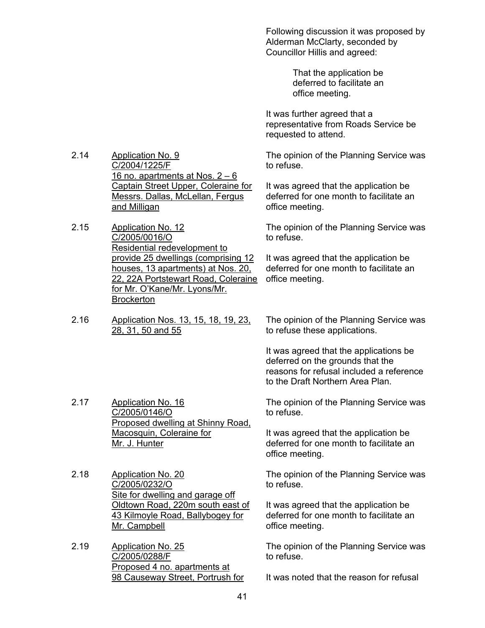Following discussion it was proposed by Alderman McClarty, seconded by Councillor Hillis and agreed:

> That the application be deferred to facilitate an office meeting.

It was further agreed that a representative from Roads Service be requested to attend.

The opinion of the Planning Service was to refuse.

It was agreed that the application be deferred for one month to facilitate an office meeting.

The opinion of the Planning Service was to refuse.

It was agreed that the application be deferred for one month to facilitate an office meeting.

2.16 Application Nos. 13, 15, 18, 19, 23, 28, 31, 50 and 55

The opinion of the Planning Service was to refuse these applications.

It was agreed that the applications be deferred on the grounds that the reasons for refusal included a reference to the Draft Northern Area Plan.

The opinion of the Planning Service was to refuse.

It was agreed that the application be deferred for one month to facilitate an office meeting.

The opinion of the Planning Service was to refuse.

It was agreed that the application be deferred for one month to facilitate an office meeting.

The opinion of the Planning Service was to refuse.

It was noted that the reason for refusal

- 2.14 Application No. 9 C/2004/1225/F 16 no. apartments at Nos. 2 – 6 Captain Street Upper, Coleraine for Messrs. Dallas, McLellan, Fergus and Milligan
- 2.15 Application No. 12 C/2005/0016/O Residential redevelopment to provide 25 dwellings (comprising 12 houses, 13 apartments) at Nos. 20, 22, 22A Portstewart Road, Coleraine for Mr. O'Kane/Mr. Lyons/Mr. **Brockerton**
- 

2.17 Application No. 16 C/2005/0146/O Proposed dwelling at Shinny Road, Macosquin, Coleraine for Mr. J. Hunter

2.18 Application No. 20 C/2005/0232/O Site for dwelling and garage off Oldtown Road, 220m south east of 43 Kilmoyle Road, Ballybogey for Mr. Campbell

2.19 Application No. 25 C/2005/0288/F Proposed 4 no. apartments at 98 Causeway Street, Portrush for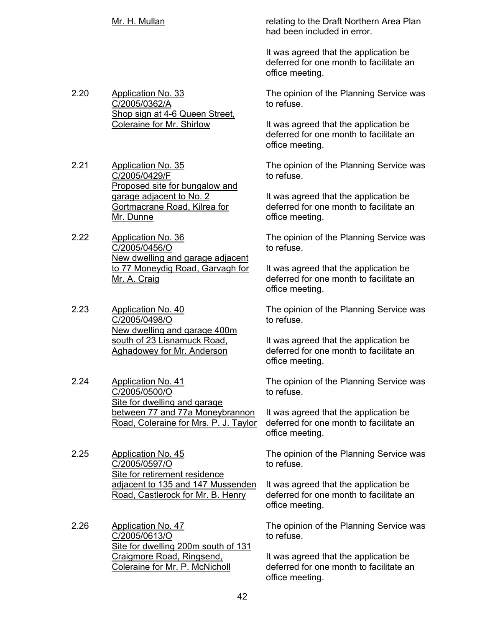- 
- 2.20 Application No. 33 C/2005/0362/A Shop sign at 4-6 Queen Street, Coleraine for Mr. Shirlow
- 2.21 Application No. 35 C/2005/0429/F Proposed site for bungalow and garage adjacent to No. 2 Gortmacrane Road, Kilrea for Mr. Dunne
- 2.22 Application No. 36 C/2005/0456/O New dwelling and garage adjacent to 77 Moneydig Road, Garvagh for Mr. A. Craig
- 2.23 Application No. 40 C/2005/0498/O New dwelling and garage 400m south of 23 Lisnamuck Road, Aghadowey for Mr. Anderson
- 2.24 Application No. 41 C/2005/0500/O Site for dwelling and garage between 77 and 77a Moneybrannon Road, Coleraine for Mrs. P. J. Taylor
- 2.25 Application No. 45 C/2005/0597/O Site for retirement residence adjacent to 135 and 147 Mussenden Road, Castlerock for Mr. B. Henry
- 2.26 Application No. 47 C/2005/0613/O Site for dwelling 200m south of 131 Craigmore Road, Ringsend, Coleraine for Mr. P. McNicholl

Mr. H. Mullan **Mullan Relating to the Draft Northern Area Plan** had been included in error.

> It was agreed that the application be deferred for one month to facilitate an office meeting.

The opinion of the Planning Service was to refuse.

It was agreed that the application be deferred for one month to facilitate an office meeting.

The opinion of the Planning Service was to refuse.

It was agreed that the application be deferred for one month to facilitate an office meeting.

The opinion of the Planning Service was to refuse.

It was agreed that the application be deferred for one month to facilitate an office meeting.

The opinion of the Planning Service was to refuse.

It was agreed that the application be deferred for one month to facilitate an office meeting.

The opinion of the Planning Service was to refuse.

It was agreed that the application be deferred for one month to facilitate an office meeting.

The opinion of the Planning Service was to refuse.

It was agreed that the application be deferred for one month to facilitate an office meeting.

The opinion of the Planning Service was to refuse.

It was agreed that the application be deferred for one month to facilitate an office meeting.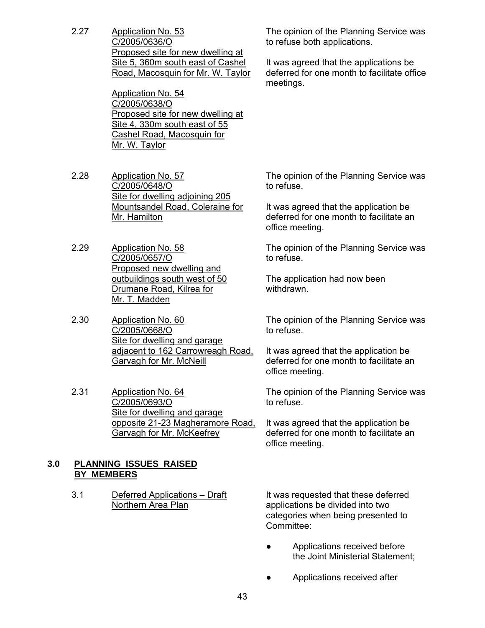2.27 Application No. 53 C/2005/0636/O Proposed site for new dwelling at Site 5, 360m south east of Cashel Road, Macosquin for Mr. W. Taylor

> Application No. 54 C/2005/0638/O Proposed site for new dwelling at Site 4, 330m south east of 55 Cashel Road, Macosquin for Mr. W. Taylor

- 2.28 Application No. 57 C/2005/0648/O Site for dwelling adjoining 205 Mountsandel Road, Coleraine for Mr. Hamilton
- 2.29 Application No. 58 C/2005/0657/O Proposed new dwelling and outbuildings south west of 50 Drumane Road, Kilrea for Mr. T. Madden
- 2.30 Application No. 60 C/2005/0668/O Site for dwelling and garage adjacent to 162 Carrowreagh Road, Garvagh for Mr. McNeill
- 2.31 Application No. 64 C/2005/0693/O Site for dwelling and garage opposite 21-23 Magheramore Road, Garvagh for Mr. McKeefrey

# **3.0 PLANNING ISSUES RAISED BY MEMBERS**

3.1 Deferred Applications – Draft Northern Area Plan

The opinion of the Planning Service was to refuse both applications.

It was agreed that the applications be deferred for one month to facilitate office meetings.

The opinion of the Planning Service was to refuse.

It was agreed that the application be deferred for one month to facilitate an office meeting.

The opinion of the Planning Service was to refuse.

The application had now been withdrawn.

The opinion of the Planning Service was to refuse.

It was agreed that the application be deferred for one month to facilitate an office meeting.

The opinion of the Planning Service was to refuse.

It was agreed that the application be deferred for one month to facilitate an office meeting.

It was requested that these deferred applications be divided into two categories when being presented to Committee:

- Applications received before the Joint Ministerial Statement;
- Applications received after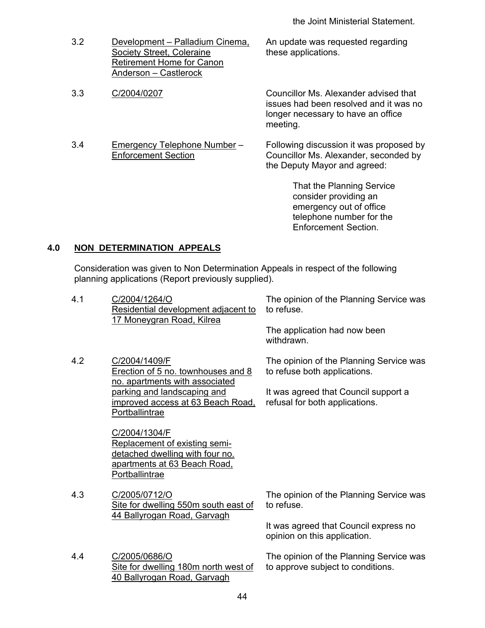3.2 Development – Palladium Cinema, Society Street, Coleraine Retirement Home for Canon Anderson – Castlerock

3.4 Emergency Telephone Number – Enforcement Section

An update was requested regarding these applications.

3.3 C/2004/0207 Councillor Ms. Alexander advised that issues had been resolved and it was no longer necessary to have an office meeting.

> Following discussion it was proposed by Councillor Ms. Alexander, seconded by the Deputy Mayor and agreed:

> > That the Planning Service consider providing an emergency out of office telephone number for the Enforcement Section.

# **4.0 NON DETERMINATION APPEALS**

 Consideration was given to Non Determination Appeals in respect of the following planning applications (Report previously supplied).

| 4.1 | C/2004/1264/O<br>Residential development adjacent to<br>17 Moneygran Road, Kilrea                                                   | The opinion of the Planning Service was<br>to refuse.<br>The application had now been |  |
|-----|-------------------------------------------------------------------------------------------------------------------------------------|---------------------------------------------------------------------------------------|--|
|     |                                                                                                                                     | withdrawn.                                                                            |  |
| 4.2 | C/2004/1409/F<br>Erection of 5 no. townhouses and 8<br>no. apartments with associated                                               | The opinion of the Planning Service was<br>to refuse both applications.               |  |
|     | parking and landscaping and<br><u>improved access at 63 Beach Road,</u><br>Portballintrae                                           | It was agreed that Council support a<br>refusal for both applications.                |  |
|     | C/2004/1304/F<br>Replacement of existing semi-<br>detached dwelling with four no.<br>apartments at 63 Beach Road,<br>Portballintrae |                                                                                       |  |
| 4.3 | C/2005/0712/O<br>Site for dwelling 550m south east of<br>44 Ballyrogan Road, Garvagh                                                | The opinion of the Planning Service was<br>to refuse.                                 |  |
|     |                                                                                                                                     | It was agreed that Council express no<br>opinion on this application.                 |  |
| 4.4 | C/2005/0686/O<br>Site for dwelling 180m north west of<br>40 Ballyrogan Road, Garvagh                                                | The opinion of the Planning Service was<br>to approve subject to conditions.          |  |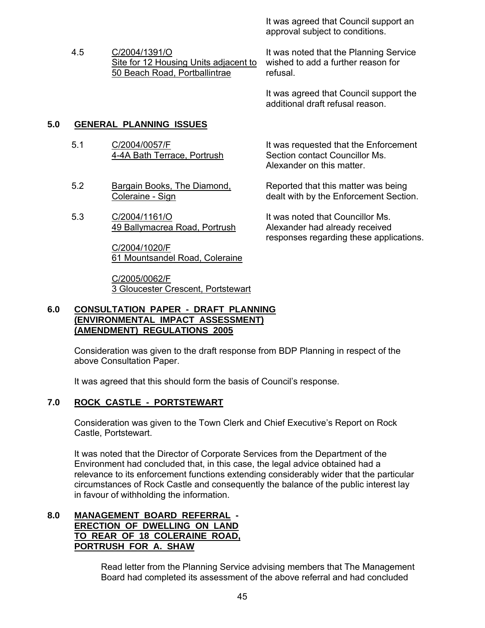It was agreed that Council support an approval subject to conditions.

4.5 C/2004/1391/O Site for 12 Housing Units adjacent to 50 Beach Road, Portballintrae

It was noted that the Planning Service wished to add a further reason for refusal.

It was agreed that Council support the additional draft refusal reason.

It was requested that the Enforcement

Reported that this matter was being dealt with by the Enforcement Section.

responses regarding these applications.

Section contact Councillor Ms. Alexander on this matter.

It was noted that Councillor Ms. Alexander had already received

# **5.0 GENERAL PLANNING ISSUES**

- 5.1 C/2004/0057/F 4-4A Bath Terrace, Portrush
- 5.2 Bargain Books, The Diamond, Coleraine - Sign
- 5.3 C/2004/1161/O 49 Ballymacrea Road, Portrush

C/2004/1020/F 61 Mountsandel Road, Coleraine

C/2005/0062/F 3 Gloucester Crescent, Portstewart

#### **6.0 CONSULTATION PAPER - DRAFT PLANNING (ENVIRONMENTAL IMPACT ASSESSMENT) (AMENDMENT) REGULATIONS 2005**

 Consideration was given to the draft response from BDP Planning in respect of the above Consultation Paper.

It was agreed that this should form the basis of Council's response.

# **7.0 ROCK CASTLE - PORTSTEWART**

 Consideration was given to the Town Clerk and Chief Executive's Report on Rock Castle, Portstewart.

 It was noted that the Director of Corporate Services from the Department of the Environment had concluded that, in this case, the legal advice obtained had a relevance to its enforcement functions extending considerably wider that the particular circumstances of Rock Castle and consequently the balance of the public interest lay in favour of withholding the information.

#### **8.0 MANAGEMENT BOARD REFERRAL - ERECTION OF DWELLING ON LAND TO REAR OF 18 COLERAINE ROAD, PORTRUSH FOR A. SHAW**

 Read letter from the Planning Service advising members that The Management Board had completed its assessment of the above referral and had concluded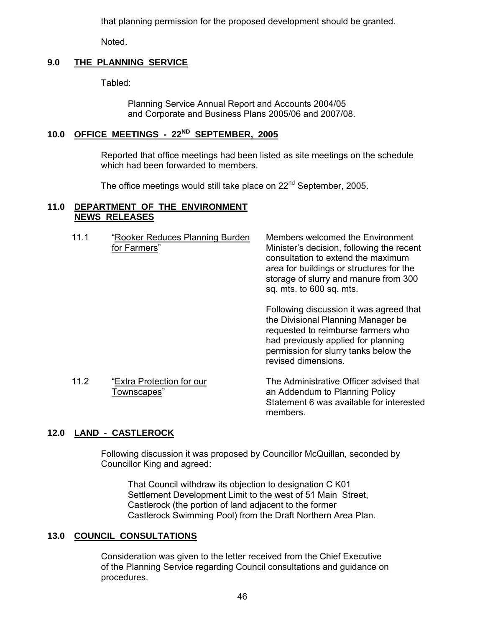that planning permission for the proposed development should be granted.

Noted.

# **9.0 THE PLANNING SERVICE**

Tabled:

 Planning Service Annual Report and Accounts 2004/05 and Corporate and Business Plans 2005/06 and 2007/08.

# **10.0 OFFICE MEETINGS - 22ND SEPTEMBER, 2005**

 Reported that office meetings had been listed as site meetings on the schedule which had been forwarded to members.

The office meetings would still take place on 22<sup>nd</sup> September, 2005.

#### **11.0 DEPARTMENT OF THE ENVIRONMENT NEWS RELEASES**

| 11.1 | "Rooker Reduces Planning Burden<br>for Farmers" | Members welcomed the Environment<br>Minister's decision, following the recent<br>consultation to extend the maximum<br>area for buildings or structures for the<br>storage of slurry and manure from 300<br>sq. mts. to 600 sq. mts. |
|------|-------------------------------------------------|--------------------------------------------------------------------------------------------------------------------------------------------------------------------------------------------------------------------------------------|
|      |                                                 | Following discussion it was agreed that<br>the Divisional Planning Manager be                                                                                                                                                        |

the Divisional Planning Manager be requested to reimburse farmers who had previously applied for planning permission for slurry tanks below the revised dimensions.

11.2 "Extra Protection for our Townscapes"

The Administrative Officer advised that an Addendum to Planning Policy Statement 6 was available for interested members.

# **12.0 LAND - CASTLEROCK**

 Following discussion it was proposed by Councillor McQuillan, seconded by Councillor King and agreed:

 That Council withdraw its objection to designation C K01 Settlement Development Limit to the west of 51 Main Street, Castlerock (the portion of land adjacent to the former Castlerock Swimming Pool) from the Draft Northern Area Plan.

# **13.0 COUNCIL CONSULTATIONS**

 Consideration was given to the letter received from the Chief Executive of the Planning Service regarding Council consultations and guidance on procedures.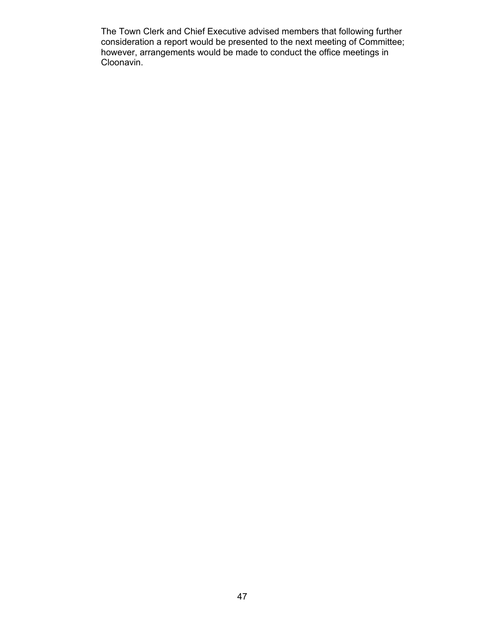The Town Clerk and Chief Executive advised members that following further consideration a report would be presented to the next meeting of Committee; however, arrangements would be made to conduct the office meetings in Cloonavin.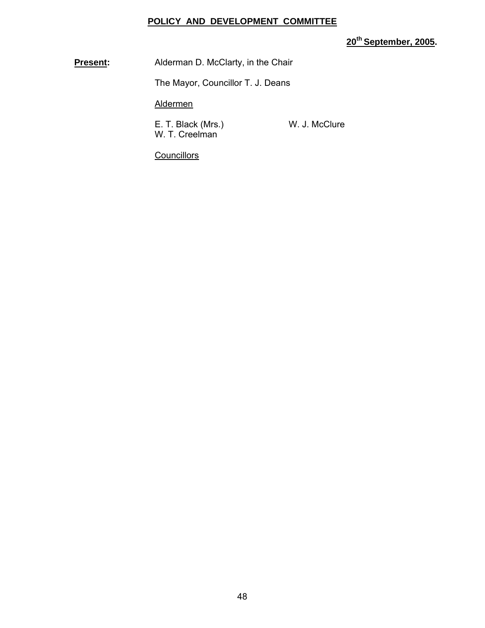#### **POLICY AND DEVELOPMENT COMMITTEE**

**20th September, 2005.** 

**Present:** Alderman D. McClarty, in the Chair

The Mayor, Councillor T. J. Deans

Aldermen

E. T. Black (Mrs.) W. J. McClure W. T. Creelman

**Councillors**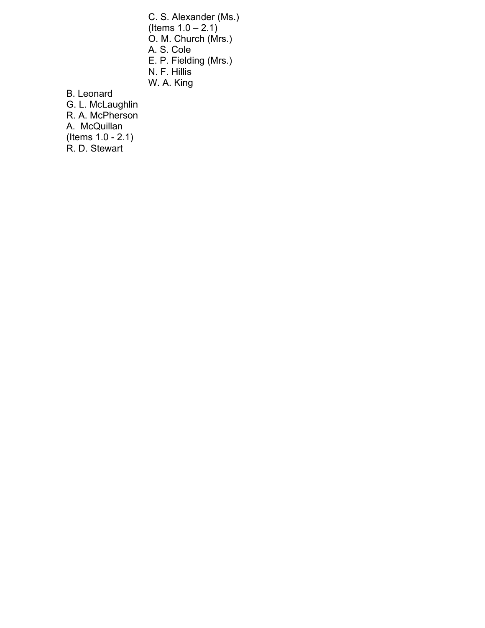C. S. Alexander (Ms.) (Items  $1.0 - 2.1$ ) O. M. Church (Mrs.) A. S. Cole E. P. Fielding (Mrs.) N. F. Hillis W. A. King

B. Leonard

 G. L. McLaughlin R. A. McPherson A. McQuillan (Items 1.0 - 2.1) R. D. Stewart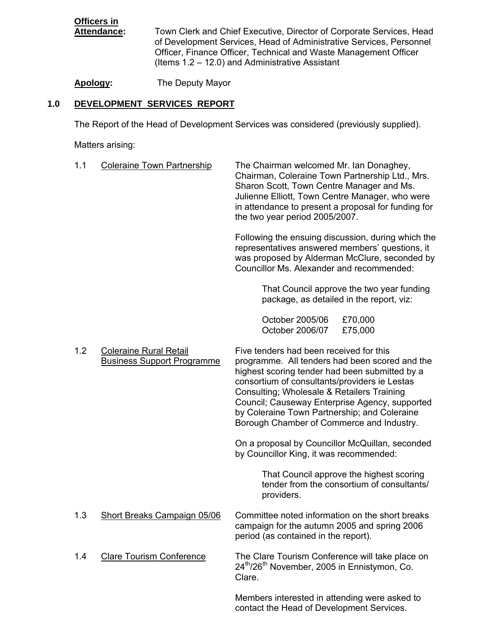# **Officers in**

Town Clerk and Chief Executive, Director of Corporate Services, Head of Development Services, Head of Administrative Services, Personnel Officer, Finance Officer, Technical and Waste Management Officer (Items 1.2 – 12.0) and Administrative Assistant

**Apology:** The Deputy Mayor

# **1.0 DEVELOPMENT SERVICES REPORT**

The Report of the Head of Development Services was considered (previously supplied).

Matters arising:

| 1.1 | <b>Coleraine Town Partnership</b>                                  | The Chairman welcomed Mr. Ian Donaghey,<br>Chairman, Coleraine Town Partnership Ltd., Mrs.<br>Sharon Scott, Town Centre Manager and Ms.<br>Julienne Elliott, Town Centre Manager, who were<br>in attendance to present a proposal for funding for<br>the two year period 2005/2007.                                                                                                       |
|-----|--------------------------------------------------------------------|-------------------------------------------------------------------------------------------------------------------------------------------------------------------------------------------------------------------------------------------------------------------------------------------------------------------------------------------------------------------------------------------|
|     |                                                                    | Following the ensuing discussion, during which the<br>representatives answered members' questions, it<br>was proposed by Alderman McClure, seconded by<br>Councillor Ms. Alexander and recommended:                                                                                                                                                                                       |
|     |                                                                    | That Council approve the two year funding<br>package, as detailed in the report, viz:                                                                                                                                                                                                                                                                                                     |
|     |                                                                    | October 2005/06<br>£70,000<br>October 2006/07<br>£75,000                                                                                                                                                                                                                                                                                                                                  |
| 1.2 | <b>Coleraine Rural Retail</b><br><b>Business Support Programme</b> | Five tenders had been received for this<br>programme. All tenders had been scored and the<br>highest scoring tender had been submitted by a<br>consortium of consultants/providers ie Lestas<br>Consulting; Wholesale & Retailers Training<br>Council; Causeway Enterprise Agency, supported<br>by Coleraine Town Partnership; and Coleraine<br>Borough Chamber of Commerce and Industry. |
|     |                                                                    | On a proposal by Councillor McQuillan, seconded<br>by Councillor King, it was recommended:                                                                                                                                                                                                                                                                                                |
|     |                                                                    | That Council approve the highest scoring<br>tender from the consortium of consultants/<br>providers.                                                                                                                                                                                                                                                                                      |
| 1.3 | <b>Short Breaks Campaign 05/06</b>                                 | Committee noted information on the short breaks<br>campaign for the autumn 2005 and spring 2006<br>period (as contained in the report).                                                                                                                                                                                                                                                   |
| 1.4 | <b>Clare Tourism Conference</b>                                    | The Clare Tourism Conference will take place on<br>24 <sup>th</sup> /26 <sup>th</sup> November, 2005 in Ennistymon, Co.<br>Clare.                                                                                                                                                                                                                                                         |
|     |                                                                    | Members interested in attending were asked to<br>contact the Head of Development Services.                                                                                                                                                                                                                                                                                                |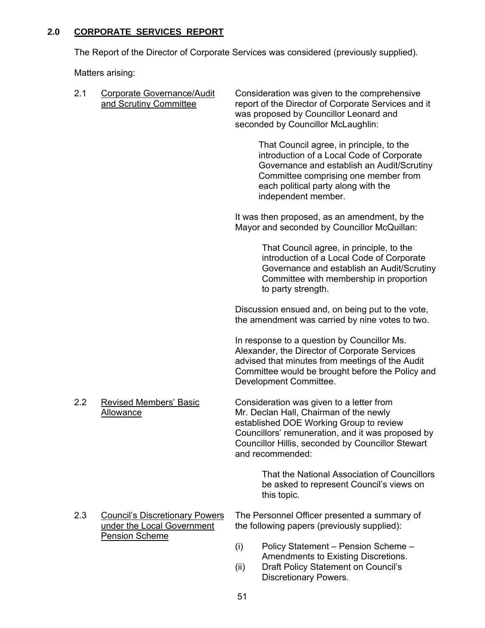# **2.0 CORPORATE SERVICES REPORT**

The Report of the Director of Corporate Services was considered (previously supplied).

Matters arising:

| 2.1 | Corporate Governance/Audit<br>and Scrutiny Committee                                         | Consideration was given to the comprehensive<br>report of the Director of Corporate Services and it<br>was proposed by Councillor Leonard and<br>seconded by Councillor McLaughlin:                                                                         |
|-----|----------------------------------------------------------------------------------------------|-------------------------------------------------------------------------------------------------------------------------------------------------------------------------------------------------------------------------------------------------------------|
|     |                                                                                              | That Council agree, in principle, to the<br>introduction of a Local Code of Corporate<br>Governance and establish an Audit/Scrutiny<br>Committee comprising one member from<br>each political party along with the<br>independent member.                   |
|     |                                                                                              | It was then proposed, as an amendment, by the<br>Mayor and seconded by Councillor McQuillan:                                                                                                                                                                |
|     |                                                                                              | That Council agree, in principle, to the<br>introduction of a Local Code of Corporate<br>Governance and establish an Audit/Scrutiny<br>Committee with membership in proportion<br>to party strength.                                                        |
|     |                                                                                              | Discussion ensued and, on being put to the vote,<br>the amendment was carried by nine votes to two.                                                                                                                                                         |
|     |                                                                                              | In response to a question by Councillor Ms.<br>Alexander, the Director of Corporate Services<br>advised that minutes from meetings of the Audit<br>Committee would be brought before the Policy and<br>Development Committee.                               |
| 2.2 | <b>Revised Members' Basic</b><br><b>Allowance</b>                                            | Consideration was given to a letter from<br>Mr. Declan Hall, Chairman of the newly<br>established DOE Working Group to review<br>Councillors' remuneration, and it was proposed by<br>Councillor Hillis, seconded by Councillor Stewart<br>and recommended: |
|     |                                                                                              | That the National Association of Councillors<br>be asked to represent Council's views on<br>this topic.                                                                                                                                                     |
| 2.3 | <b>Council's Discretionary Powers</b><br>under the Local Government<br><b>Pension Scheme</b> | The Personnel Officer presented a summary of<br>the following papers (previously supplied):                                                                                                                                                                 |
|     |                                                                                              | (i)<br>Policy Statement - Pension Scheme -<br>Amendments to Existing Discretions.<br>Draft Policy Statement on Council's<br>(ii)<br><b>Discretionary Powers.</b>                                                                                            |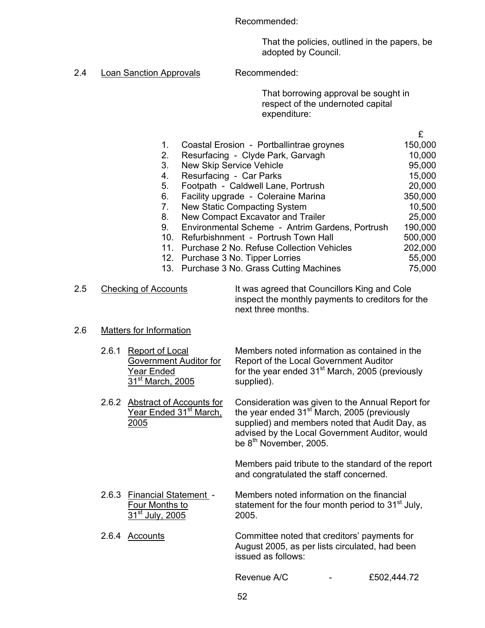Recommended:

 That the policies, outlined in the papers, be adopted by Council.

2.4 Loan Sanction Approvals Recommended:

That borrowing approval be sought in respect of the undernoted capital expenditure:

|    |                                                  | £       |
|----|--------------------------------------------------|---------|
| 1. | Coastal Erosion - Portballintrae groynes         | 150,000 |
| 2. | Resurfacing - Clyde Park, Garvagh                | 10,000  |
| 3. | <b>New Skip Service Vehicle</b>                  | 95,000  |
| 4. | Resurfacing - Car Parks                          | 15,000  |
| 5. | Footpath - Caldwell Lane, Portrush               | 20,000  |
| 6. | Facility upgrade - Coleraine Marina              | 350,000 |
| 7. | New Static Compacting System                     | 10,500  |
| 8. | New Compact Excavator and Trailer                | 25,000  |
| 9. | Environmental Scheme - Antrim Gardens, Portrush  | 190,000 |
|    | 10. Refurbishnment - Portrush Town Hall          | 500,000 |
|    | Purchase 2 No. Refuse Collection Vehicles<br>11. | 202,000 |
|    | 12. Purchase 3 No. Tipper Lorries                | 55,000  |
|    | 13. Purchase 3 No. Grass Cutting Machines        | 75,000  |
|    |                                                  |         |

# 2.5 Checking of Accounts It was agreed that Councillors King and Cole inspect the monthly payments to creditors for the next three months.

#### 2.6 Matters for Information

| 2.6.1 Report of Local     | Members noted information as contained in the               |
|---------------------------|-------------------------------------------------------------|
| Government Auditor for    | Report of the Local Government Auditor                      |
| Year Ended                | for the year ended 31 <sup>st</sup> March, 2005 (previously |
| $31^{\rm st}$ March, 2005 | supplied).                                                  |

2.6.2 Abstract of Accounts for Consideration was given to the Annual Report for<br>Year Ended 31<sup>st</sup> March, the year ended 31<sup>st</sup> March, 2005 (previously the year ended 31<sup>st</sup> March, 2005 (previously 2005 supplied) and members noted that Audit Day, as advised by the Local Government Auditor, would be 8<sup>th</sup> November, 2005.

> Members paid tribute to the standard of the report and congratulated the staff concerned.

2.6.3 Financial Statement - Members noted information on the financial Four Months to statement for the four month period to  $31<sup>st</sup>$  July,  $\overline{31}^{\rm st}$  July, 2005. 2005.

2.6.4 Accounts Committee noted that creditors' payments for August 2005, as per lists circulated, had been issued as follows:

Revenue A/C - £502,444.72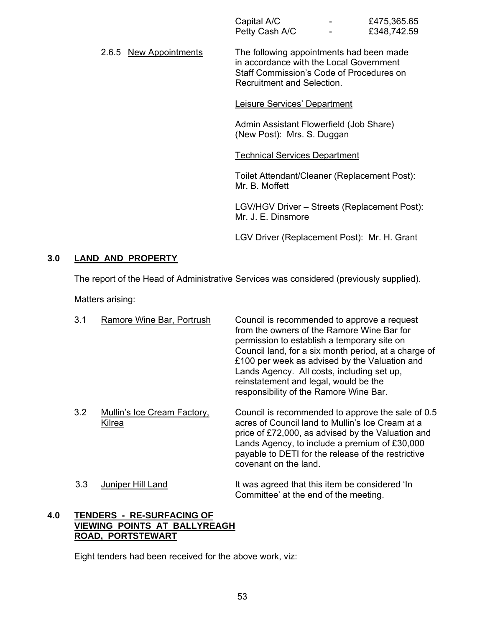| Capital A/C    | -                        | £475,365.65 |
|----------------|--------------------------|-------------|
| Petty Cash A/C | $\overline{\phantom{0}}$ | £348,742.59 |

2.6.5 New Appointments The following appointments had been made in accordance with the Local Government Staff Commission's Code of Procedures on Recruitment and Selection.

#### Leisure Services' Department

Admin Assistant Flowerfield (Job Share) (New Post): Mrs. S. Duggan

#### Technical Services Department

Toilet Attendant/Cleaner (Replacement Post): Mr. B. Moffett

LGV/HGV Driver – Streets (Replacement Post): Mr. J. E. Dinsmore

LGV Driver (Replacement Post): Mr. H. Grant

Committee' at the end of the meeting.

#### **3.0 LAND AND PROPERTY**

The report of the Head of Administrative Services was considered (previously supplied).

Matters arising:

| 3.1 | Ramore Wine Bar, Portrush                    | Council is recommended to approve a request<br>from the owners of the Ramore Wine Bar for<br>permission to establish a temporary site on<br>Council land, for a six month period, at a charge of<br>£100 per week as advised by the Valuation and<br>Lands Agency. All costs, including set up,<br>reinstatement and legal, would be the<br>responsibility of the Ramore Wine Bar. |
|-----|----------------------------------------------|------------------------------------------------------------------------------------------------------------------------------------------------------------------------------------------------------------------------------------------------------------------------------------------------------------------------------------------------------------------------------------|
| 3.2 | <b>Mullin's Ice Cream Factory,</b><br>Kilrea | Council is recommended to approve the sale of 0.5<br>acres of Council land to Mullin's Ice Cream at a<br>price of £72,000, as advised by the Valuation and<br>Lands Agency, to include a premium of £30,000<br>payable to DETI for the release of the restrictive<br>covenant on the land.                                                                                         |
| 3.3 | Juniper Hill Land                            | It was agreed that this item be considered 'In                                                                                                                                                                                                                                                                                                                                     |

#### **4.0 TENDERS - RE-SURFACING OF VIEWING POINTS AT BALLYREAGH ROAD, PORTSTEWART**

Eight tenders had been received for the above work, viz: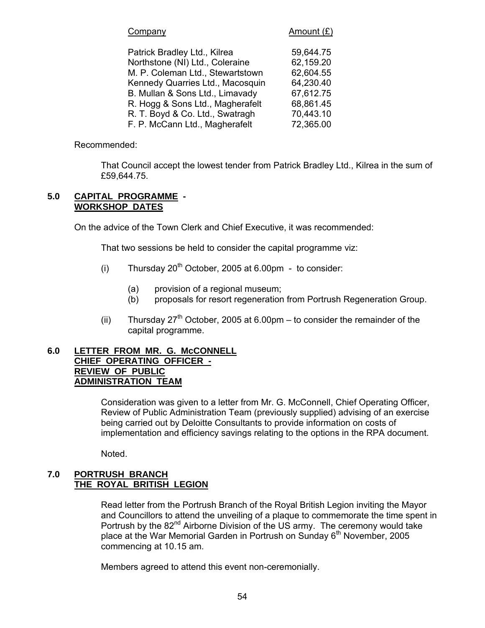| Company                          | Amount $(E)$ |
|----------------------------------|--------------|
| Patrick Bradley Ltd., Kilrea     | 59,644.75    |
| Northstone (NI) Ltd., Coleraine  | 62,159.20    |
| M. P. Coleman Ltd., Stewartstown | 62,604.55    |
| Kennedy Quarries Ltd., Macosquin | 64,230.40    |
| B. Mullan & Sons Ltd., Limavady  | 67,612.75    |
| R. Hogg & Sons Ltd., Magherafelt | 68,861.45    |
| R. T. Boyd & Co. Ltd., Swatragh  | 70,443.10    |
| F. P. McCann Ltd., Magherafelt   | 72,365.00    |

#### Recommended:

 That Council accept the lowest tender from Patrick Bradley Ltd., Kilrea in the sum of £59,644.75.

#### **5.0 CAPITAL PROGRAMME - WORKSHOP DATES**

On the advice of the Town Clerk and Chief Executive, it was recommended:

That two sessions be held to consider the capital programme viz:

- (i) Thursday  $20^{th}$  October, 2005 at 6.00pm to consider:
	- (a) provision of a regional museum;
	- (b) proposals for resort regeneration from Portrush Regeneration Group.
- (ii) Thursday  $27<sup>th</sup>$  October, 2005 at 6.00pm to consider the remainder of the capital programme.

#### **6.0 LETTER FROM MR. G. McCONNELL CHIEF OPERATING OFFICER - REVIEW OF PUBLIC ADMINISTRATION TEAM**

Consideration was given to a letter from Mr. G. McConnell, Chief Operating Officer, Review of Public Administration Team (previously supplied) advising of an exercise being carried out by Deloitte Consultants to provide information on costs of implementation and efficiency savings relating to the options in the RPA document.

Noted.

#### **7.0 PORTRUSH BRANCH THE ROYAL BRITISH LEGION**

Read letter from the Portrush Branch of the Royal British Legion inviting the Mayor and Councillors to attend the unveiling of a plaque to commemorate the time spent in Portrush by the 82<sup>nd</sup> Airborne Division of the US army. The ceremony would take place at the War Memorial Garden in Portrush on Sunday  $6<sup>th</sup>$  November, 2005 commencing at 10.15 am.

Members agreed to attend this event non-ceremonially.